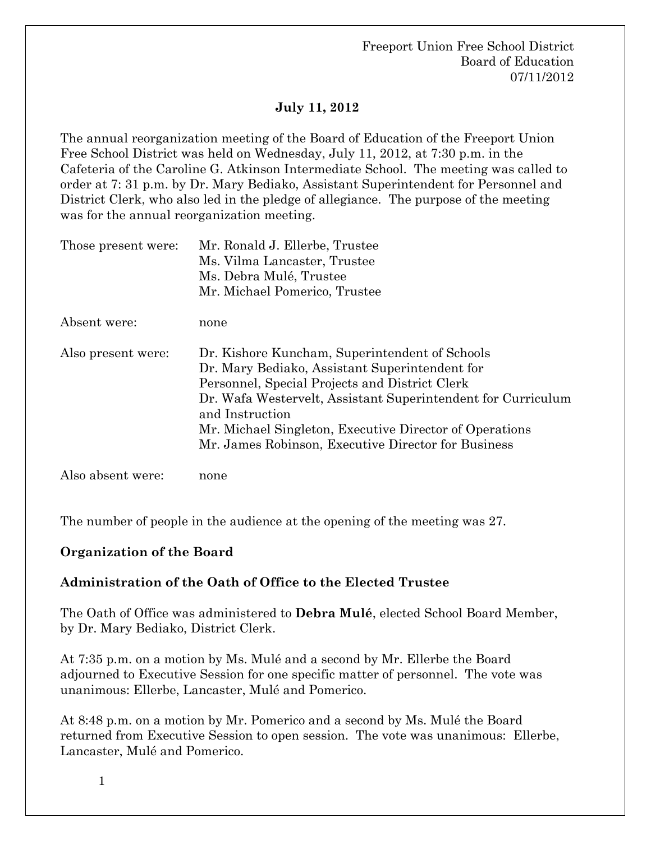# **July 11, 2012**

The annual reorganization meeting of the Board of Education of the Freeport Union Free School District was held on Wednesday, July 11, 2012, at 7:30 p.m. in the Cafeteria of the Caroline G. Atkinson Intermediate School. The meeting was called to order at 7: 31 p.m. by Dr. Mary Bediako, Assistant Superintendent for Personnel and District Clerk, who also led in the pledge of allegiance. The purpose of the meeting was for the annual reorganization meeting.

| Those present were: | Mr. Ronald J. Ellerbe, Trustee<br>Ms. Vilma Lancaster, Trustee<br>Ms. Debra Mulé, Trustee<br>Mr. Michael Pomerico, Trustee                                                                                                                                                                                                                              |
|---------------------|---------------------------------------------------------------------------------------------------------------------------------------------------------------------------------------------------------------------------------------------------------------------------------------------------------------------------------------------------------|
| Absent were:        | none                                                                                                                                                                                                                                                                                                                                                    |
| Also present were:  | Dr. Kishore Kuncham, Superintendent of Schools<br>Dr. Mary Bediako, Assistant Superintendent for<br>Personnel, Special Projects and District Clerk<br>Dr. Wafa Westervelt, Assistant Superintendent for Curriculum<br>and Instruction<br>Mr. Michael Singleton, Executive Director of Operations<br>Mr. James Robinson, Executive Director for Business |
| Also absent were:   | none                                                                                                                                                                                                                                                                                                                                                    |

The number of people in the audience at the opening of the meeting was 27.

## **Organization of the Board**

## **Administration of the Oath of Office to the Elected Trustee**

The Oath of Office was administered to **Debra Mulé**, elected School Board Member, by Dr. Mary Bediako, District Clerk.

At 7:35 p.m. on a motion by Ms. Mulé and a second by Mr. Ellerbe the Board adjourned to Executive Session for one specific matter of personnel. The vote was unanimous: Ellerbe, Lancaster, Mulé and Pomerico.

At 8:48 p.m. on a motion by Mr. Pomerico and a second by Ms. Mulé the Board returned from Executive Session to open session. The vote was unanimous: Ellerbe, Lancaster, Mulé and Pomerico.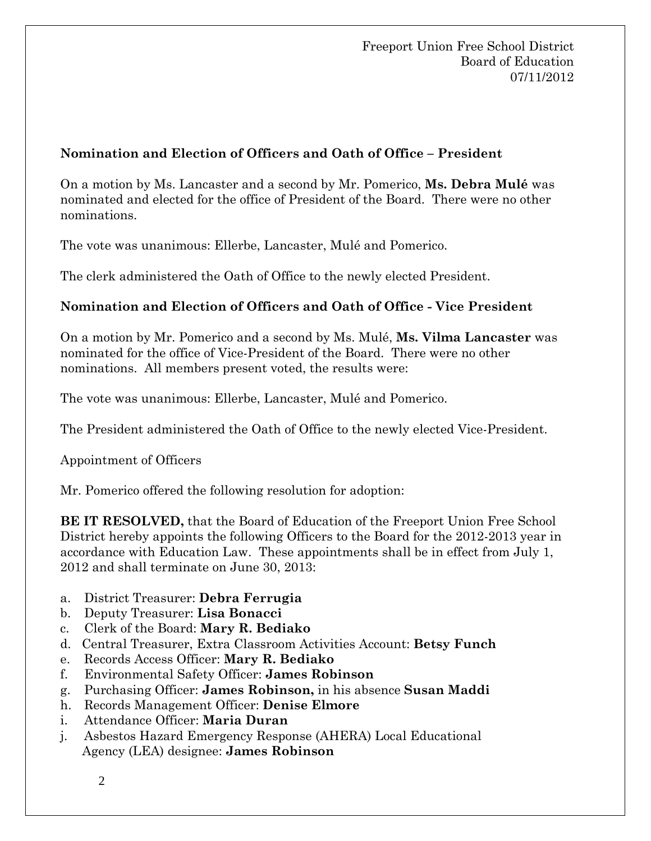# **Nomination and Election of Officers and Oath of Office – President**

On a motion by Ms. Lancaster and a second by Mr. Pomerico, **Ms. Debra Mulé** was nominated and elected for the office of President of the Board. There were no other nominations.

The vote was unanimous: Ellerbe, Lancaster, Mulé and Pomerico.

The clerk administered the Oath of Office to the newly elected President.

# **Nomination and Election of Officers and Oath of Office - Vice President**

On a motion by Mr. Pomerico and a second by Ms. Mulé, **Ms. Vilma Lancaster** was nominated for the office of Vice-President of the Board. There were no other nominations. All members present voted, the results were:

The vote was unanimous: Ellerbe, Lancaster, Mulé and Pomerico.

The President administered the Oath of Office to the newly elected Vice-President.

Appointment of Officers

Mr. Pomerico offered the following resolution for adoption:

**BE IT RESOLVED,** that the Board of Education of the Freeport Union Free School District hereby appoints the following Officers to the Board for the 2012-2013 year in accordance with Education Law. These appointments shall be in effect from July 1, 2012 and shall terminate on June 30, 2013:

- a. District Treasurer: **Debra Ferrugia**
- b. Deputy Treasurer: **Lisa Bonacci**
- c. Clerk of the Board: **Mary R. Bediako**
- d. Central Treasurer, Extra Classroom Activities Account: **Betsy Funch**
- e. Records Access Officer: **Mary R. Bediako**
- f. Environmental Safety Officer: **James Robinson**
- g. Purchasing Officer: **James Robinson,** in his absence **Susan Maddi**
- h. Records Management Officer: **Denise Elmore**
- i. Attendance Officer: **Maria Duran**
- j. Asbestos Hazard Emergency Response (AHERA) Local Educational Agency (LEA) designee: **James Robinson**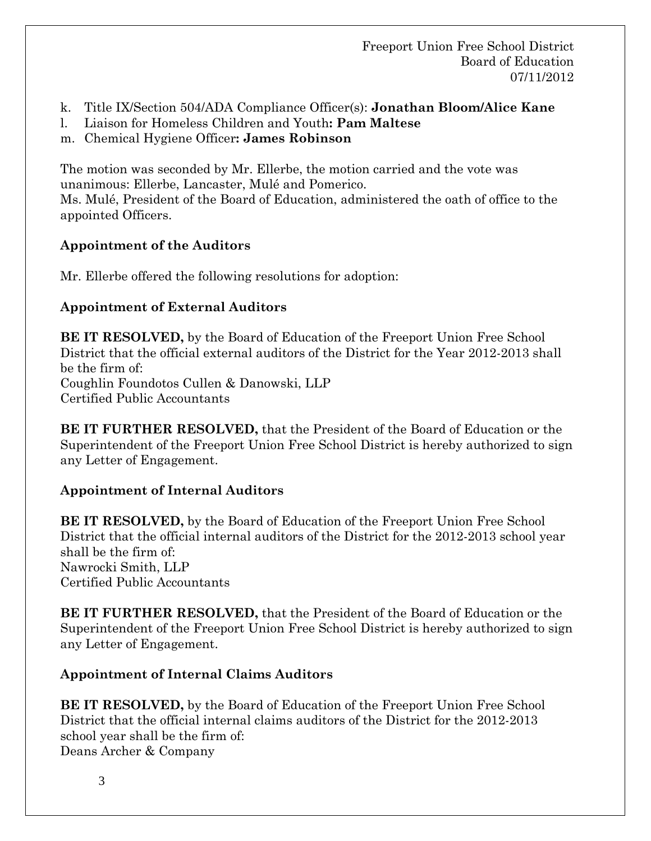- k. Title IX/Section 504/ADA Compliance Officer(s): **Jonathan Bloom/Alice Kane**
- l. Liaison for Homeless Children and Youth**: Pam Maltese**
- m.Chemical Hygiene Officer**: James Robinson**

The motion was seconded by Mr. Ellerbe, the motion carried and the vote was unanimous: Ellerbe, Lancaster, Mulé and Pomerico. Ms. Mulé, President of the Board of Education, administered the oath of office to the appointed Officers.

# **Appointment of the Auditors**

Mr. Ellerbe offered the following resolutions for adoption:

# **Appointment of External Auditors**

**BE IT RESOLVED,** by the Board of Education of the Freeport Union Free School District that the official external auditors of the District for the Year 2012-2013 shall be the firm of: Coughlin Foundotos Cullen & Danowski, LLP Certified Public Accountants

**BE IT FURTHER RESOLVED,** that the President of the Board of Education or the Superintendent of the Freeport Union Free School District is hereby authorized to sign any Letter of Engagement.

# **Appointment of Internal Auditors**

**BE IT RESOLVED,** by the Board of Education of the Freeport Union Free School District that the official internal auditors of the District for the 2012-2013 school year shall be the firm of: Nawrocki Smith, LLP Certified Public Accountants

**BE IT FURTHER RESOLVED,** that the President of the Board of Education or the Superintendent of the Freeport Union Free School District is hereby authorized to sign any Letter of Engagement.

# **Appointment of Internal Claims Auditors**

**BE IT RESOLVED,** by the Board of Education of the Freeport Union Free School District that the official internal claims auditors of the District for the 2012-2013 school year shall be the firm of: Deans Archer & Company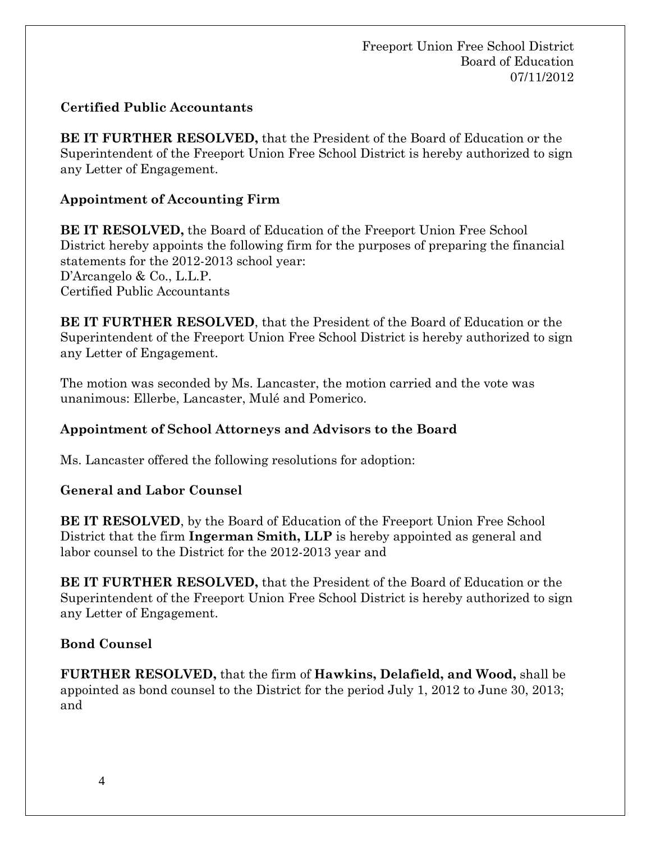# **Certified Public Accountants**

**BE IT FURTHER RESOLVED,** that the President of the Board of Education or the Superintendent of the Freeport Union Free School District is hereby authorized to sign any Letter of Engagement.

# **Appointment of Accounting Firm**

**BE IT RESOLVED,** the Board of Education of the Freeport Union Free School District hereby appoints the following firm for the purposes of preparing the financial statements for the 2012-2013 school year: D'Arcangelo & Co., L.L.P. Certified Public Accountants

**BE IT FURTHER RESOLVED**, that the President of the Board of Education or the Superintendent of the Freeport Union Free School District is hereby authorized to sign any Letter of Engagement.

The motion was seconded by Ms. Lancaster, the motion carried and the vote was unanimous: Ellerbe, Lancaster, Mulé and Pomerico.

# **Appointment of School Attorneys and Advisors to the Board**

Ms. Lancaster offered the following resolutions for adoption:

## **General and Labor Counsel**

**BE IT RESOLVED**, by the Board of Education of the Freeport Union Free School District that the firm **Ingerman Smith, LLP** is hereby appointed as general and labor counsel to the District for the 2012-2013 year and

**BE IT FURTHER RESOLVED,** that the President of the Board of Education or the Superintendent of the Freeport Union Free School District is hereby authorized to sign any Letter of Engagement.

## **Bond Counsel**

**FURTHER RESOLVED,** that the firm of **Hawkins, Delafield, and Wood,** shall be appointed as bond counsel to the District for the period July 1, 2012 to June 30, 2013; and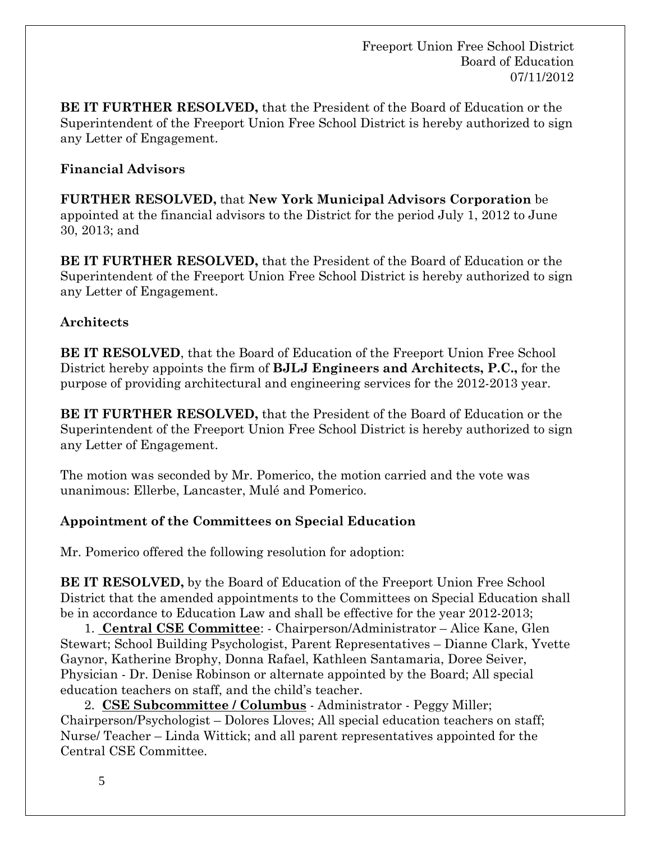**BE IT FURTHER RESOLVED,** that the President of the Board of Education or the Superintendent of the Freeport Union Free School District is hereby authorized to sign any Letter of Engagement.

# **Financial Advisors**

**FURTHER RESOLVED,** that **New York Municipal Advisors Corporation** be appointed at the financial advisors to the District for the period July 1, 2012 to June 30, 2013; and

**BE IT FURTHER RESOLVED,** that the President of the Board of Education or the Superintendent of the Freeport Union Free School District is hereby authorized to sign any Letter of Engagement.

# **Architects**

**BE IT RESOLVED**, that the Board of Education of the Freeport Union Free School District hereby appoints the firm of **BJLJ Engineers and Architects, P.C.,** for the purpose of providing architectural and engineering services for the 2012-2013 year.

**BE IT FURTHER RESOLVED,** that the President of the Board of Education or the Superintendent of the Freeport Union Free School District is hereby authorized to sign any Letter of Engagement.

The motion was seconded by Mr. Pomerico, the motion carried and the vote was unanimous: Ellerbe, Lancaster, Mulé and Pomerico.

# **Appointment of the Committees on Special Education**

Mr. Pomerico offered the following resolution for adoption:

**BE IT RESOLVED,** by the Board of Education of the Freeport Union Free School District that the amended appointments to the Committees on Special Education shall be in accordance to Education Law and shall be effective for the year 2012-2013;

 1. **Central CSE Committee**: - Chairperson/Administrator – Alice Kane, Glen Stewart; School Building Psychologist, Parent Representatives – Dianne Clark, Yvette Gaynor, Katherine Brophy, Donna Rafael, Kathleen Santamaria, Doree Seiver, Physician - Dr. Denise Robinson or alternate appointed by the Board; All special education teachers on staff, and the child's teacher.

 2. **CSE Subcommittee / Columbus** - Administrator - Peggy Miller; Chairperson/Psychologist – Dolores Lloves; All special education teachers on staff; Nurse/ Teacher – Linda Wittick; and all parent representatives appointed for the Central CSE Committee.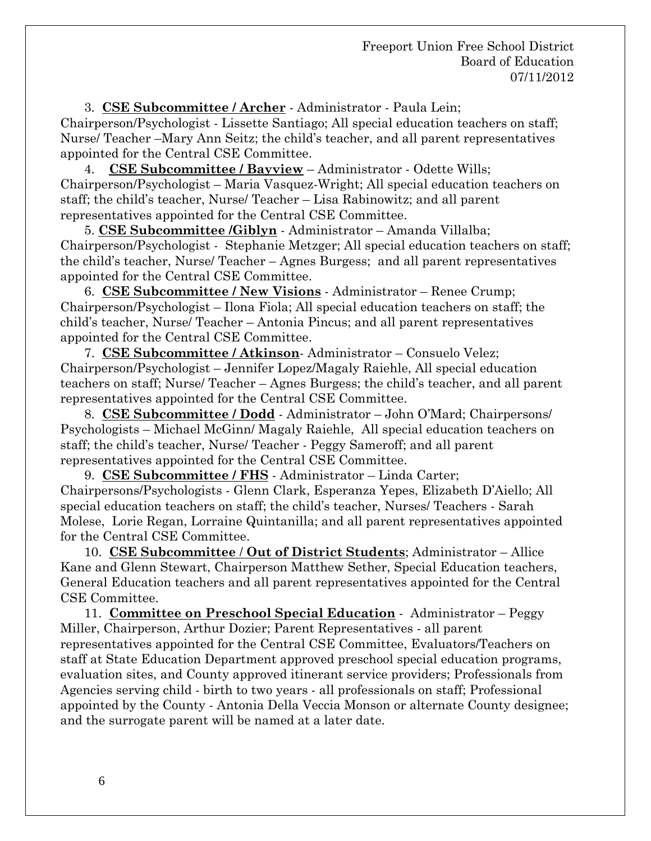3. **CSE Subcommittee / Archer** - Administrator - Paula Lein; Chairperson/Psychologist - Lissette Santiago; All special education teachers on staff; Nurse/ Teacher –Mary Ann Seitz; the child's teacher, and all parent representatives appointed for the Central CSE Committee.

 4. **CSE Subcommittee / Bayview** – Administrator - Odette Wills; Chairperson/Psychologist – Maria Vasquez-Wright; All special education teachers on staff; the child's teacher, Nurse/ Teacher – Lisa Rabinowitz; and all parent representatives appointed for the Central CSE Committee.

 5. **CSE Subcommittee /Giblyn** - Administrator – Amanda Villalba; Chairperson/Psychologist - Stephanie Metzger; All special education teachers on staff; the child's teacher, Nurse/ Teacher – Agnes Burgess; and all parent representatives appointed for the Central CSE Committee.

 6. **CSE Subcommittee / New Visions** - Administrator – Renee Crump; Chairperson/Psychologist – Ilona Fiola; All special education teachers on staff; the child's teacher, Nurse/ Teacher – Antonia Pincus; and all parent representatives appointed for the Central CSE Committee.

 7. **CSE Subcommittee / Atkinson**- Administrator – Consuelo Velez; Chairperson/Psychologist – Jennifer Lopez/Magaly Raiehle, All special education teachers on staff; Nurse/ Teacher – Agnes Burgess; the child's teacher, and all parent representatives appointed for the Central CSE Committee.

 8. **CSE Subcommittee / Dodd** - Administrator – John O'Mard; Chairpersons/ Psychologists – Michael McGinn/ Magaly Raiehle, All special education teachers on staff; the child's teacher, Nurse/ Teacher - Peggy Sameroff; and all parent representatives appointed for the Central CSE Committee.

 9. **CSE Subcommittee / FHS** - Administrator – Linda Carter; Chairpersons/Psychologists - Glenn Clark, Esperanza Yepes, Elizabeth D'Aiello; All special education teachers on staff; the child's teacher, Nurses/ Teachers - Sarah Molese, Lorie Regan, Lorraine Quintanilla; and all parent representatives appointed for the Central CSE Committee.

 10. **CSE Subcommittee** / **Out of District Students**; Administrator – Allice Kane and Glenn Stewart, Chairperson Matthew Sether, Special Education teachers, General Education teachers and all parent representatives appointed for the Central CSE Committee.

 11. **Committee on Preschool Special Education** - Administrator – Peggy Miller, Chairperson, Arthur Dozier; Parent Representatives - all parent representatives appointed for the Central CSE Committee, Evaluators/Teachers on staff at State Education Department approved preschool special education programs, evaluation sites, and County approved itinerant service providers; Professionals from Agencies serving child - birth to two years - all professionals on staff; Professional appointed by the County - Antonia Della Veccia Monson or alternate County designee; and the surrogate parent will be named at a later date.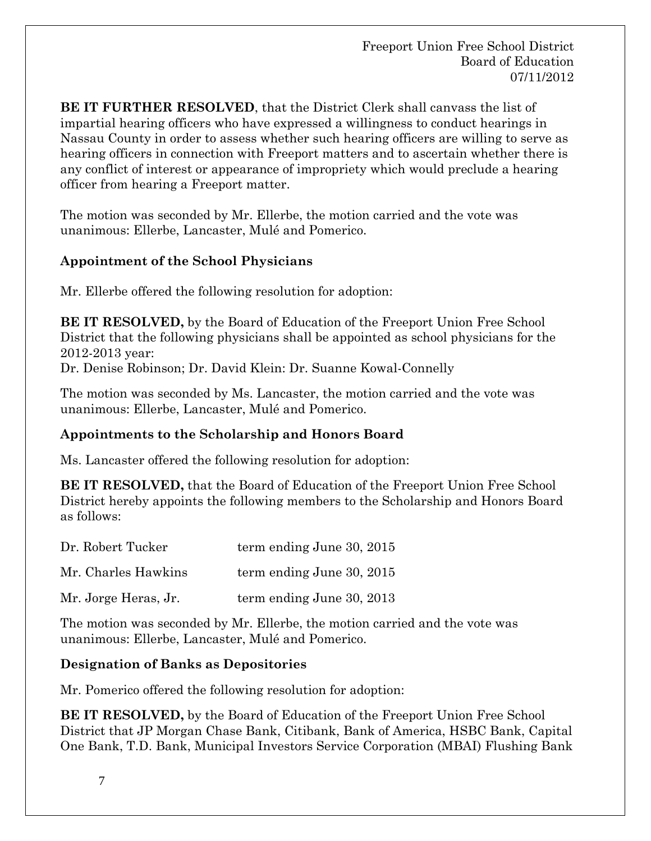**BE IT FURTHER RESOLVED**, that the District Clerk shall canvass the list of impartial hearing officers who have expressed a willingness to conduct hearings in Nassau County in order to assess whether such hearing officers are willing to serve as hearing officers in connection with Freeport matters and to ascertain whether there is any conflict of interest or appearance of impropriety which would preclude a hearing officer from hearing a Freeport matter.

The motion was seconded by Mr. Ellerbe, the motion carried and the vote was unanimous: Ellerbe, Lancaster, Mulé and Pomerico.

# **Appointment of the School Physicians**

Mr. Ellerbe offered the following resolution for adoption:

**BE IT RESOLVED,** by the Board of Education of the Freeport Union Free School District that the following physicians shall be appointed as school physicians for the 2012-2013 year:

Dr. Denise Robinson; Dr. David Klein: Dr. Suanne Kowal-Connelly

The motion was seconded by Ms. Lancaster, the motion carried and the vote was unanimous: Ellerbe, Lancaster, Mulé and Pomerico.

## **Appointments to the Scholarship and Honors Board**

Ms. Lancaster offered the following resolution for adoption:

**BE IT RESOLVED,** that the Board of Education of the Freeport Union Free School District hereby appoints the following members to the Scholarship and Honors Board as follows:

| Dr. Robert Tucker    | term ending June 30, 2015 |
|----------------------|---------------------------|
| Mr. Charles Hawkins  | term ending June 30, 2015 |
| Mr. Jorge Heras, Jr. | term ending June 30, 2013 |

The motion was seconded by Mr. Ellerbe, the motion carried and the vote was unanimous: Ellerbe, Lancaster, Mulé and Pomerico.

## **Designation of Banks as Depositories**

Mr. Pomerico offered the following resolution for adoption:

**BE IT RESOLVED,** by the Board of Education of the Freeport Union Free School District that JP Morgan Chase Bank, Citibank, Bank of America, HSBC Bank, Capital One Bank, T.D. Bank, Municipal Investors Service Corporation (MBAI) Flushing Bank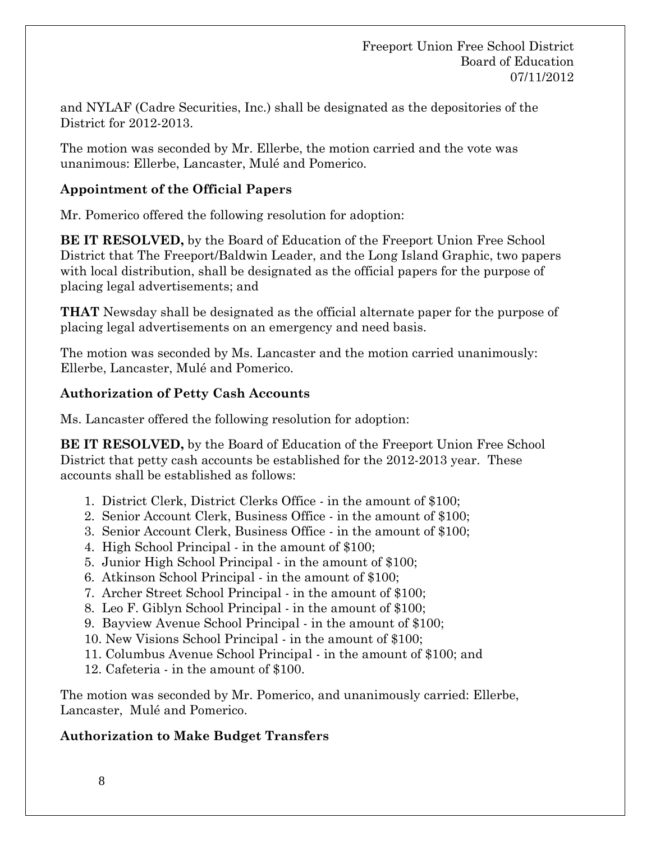and NYLAF (Cadre Securities, Inc.) shall be designated as the depositories of the District for 2012-2013.

The motion was seconded by Mr. Ellerbe, the motion carried and the vote was unanimous: Ellerbe, Lancaster, Mulé and Pomerico.

## **Appointment of the Official Papers**

Mr. Pomerico offered the following resolution for adoption:

**BE IT RESOLVED,** by the Board of Education of the Freeport Union Free School District that The Freeport/Baldwin Leader, and the Long Island Graphic, two papers with local distribution, shall be designated as the official papers for the purpose of placing legal advertisements; and

**THAT** Newsday shall be designated as the official alternate paper for the purpose of placing legal advertisements on an emergency and need basis.

The motion was seconded by Ms. Lancaster and the motion carried unanimously: Ellerbe, Lancaster, Mulé and Pomerico.

# **Authorization of Petty Cash Accounts**

Ms. Lancaster offered the following resolution for adoption:

**BE IT RESOLVED,** by the Board of Education of the Freeport Union Free School District that petty cash accounts be established for the 2012-2013 year. These accounts shall be established as follows:

- 1. District Clerk, District Clerks Office in the amount of \$100;
- 2. Senior Account Clerk, Business Office in the amount of \$100;
- 3. Senior Account Clerk, Business Office in the amount of \$100;
- 4. High School Principal in the amount of \$100;
- 5. Junior High School Principal in the amount of \$100;
- 6. Atkinson School Principal in the amount of \$100;
- 7. Archer Street School Principal in the amount of \$100;
- 8. Leo F. Giblyn School Principal in the amount of \$100;
- 9. Bayview Avenue School Principal in the amount of \$100;
- 10. New Visions School Principal in the amount of \$100;
- 11. Columbus Avenue School Principal in the amount of \$100; and
- 12. Cafeteria in the amount of \$100.

The motion was seconded by Mr. Pomerico, and unanimously carried: Ellerbe, Lancaster, Mulé and Pomerico.

# **Authorization to Make Budget Transfers**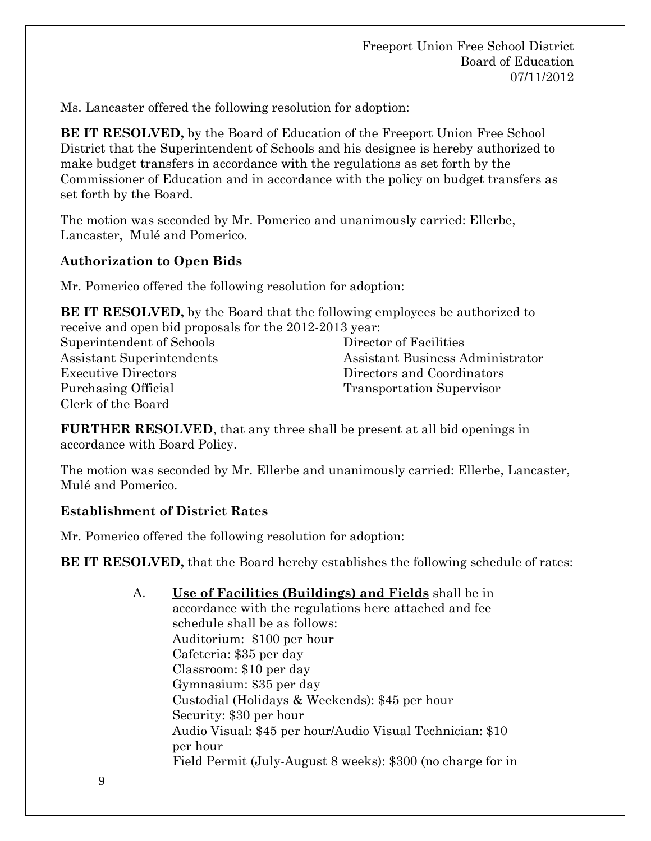Ms. Lancaster offered the following resolution for adoption:

**BE IT RESOLVED,** by the Board of Education of the Freeport Union Free School District that the Superintendent of Schools and his designee is hereby authorized to make budget transfers in accordance with the regulations as set forth by the Commissioner of Education and in accordance with the policy on budget transfers as set forth by the Board.

The motion was seconded by Mr. Pomerico and unanimously carried: Ellerbe, Lancaster, Mulé and Pomerico.

# **Authorization to Open Bids**

Mr. Pomerico offered the following resolution for adoption:

**BE IT RESOLVED,** by the Board that the following employees be authorized to receive and open bid proposals for the 2012-2013 year:

Superintendent of Schools Assistant Superintendents Executive Directors Purchasing Official Clerk of the Board

Director of Facilities Assistant Business Administrator Directors and Coordinators Transportation Supervisor

**FURTHER RESOLVED**, that any three shall be present at all bid openings in accordance with Board Policy.

The motion was seconded by Mr. Ellerbe and unanimously carried: Ellerbe, Lancaster, Mulé and Pomerico.

## **Establishment of District Rates**

Mr. Pomerico offered the following resolution for adoption:

**BE IT RESOLVED,** that the Board hereby establishes the following schedule of rates:

A. **Use of Facilities (Buildings) and Fields** shall be in accordance with the regulations here attached and fee schedule shall be as follows: Auditorium: \$100 per hour Cafeteria: \$35 per day Classroom: \$10 per day Gymnasium: \$35 per day Custodial (Holidays & Weekends): \$45 per hour Security: \$30 per hour Audio Visual: \$45 per hour/Audio Visual Technician: \$10 per hour Field Permit (July-August 8 weeks): \$300 (no charge for in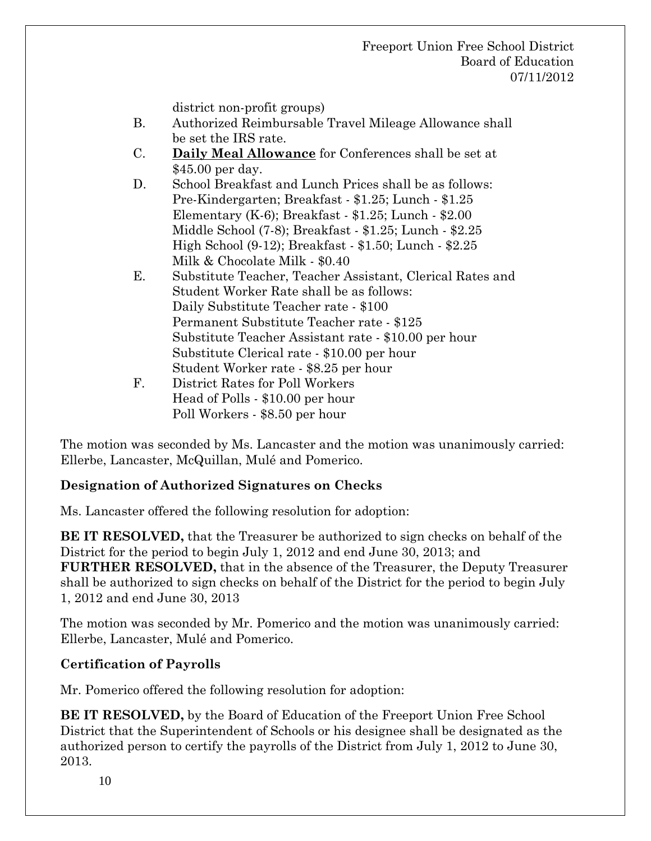district non-profit groups)

- B. Authorized Reimbursable Travel Mileage Allowance shall be set the IRS rate.
- C. **Daily Meal Allowance** for Conferences shall be set at \$45.00 per day.
- D. School Breakfast and Lunch Prices shall be as follows: Pre-Kindergarten; Breakfast - \$1.25; Lunch - \$1.25 Elementary (K-6); Breakfast - \$1.25; Lunch - \$2.00 Middle School (7-8); Breakfast - \$1.25; Lunch - \$2.25 High School (9-12); Breakfast - \$1.50; Lunch - \$2.25 Milk & Chocolate Milk - \$0.40
- E. Substitute Teacher, Teacher Assistant, Clerical Rates and Student Worker Rate shall be as follows: Daily Substitute Teacher rate - \$100 Permanent Substitute Teacher rate - \$125 Substitute Teacher Assistant rate - \$10.00 per hour Substitute Clerical rate - \$10.00 per hour Student Worker rate - \$8.25 per hour F. District Rates for Poll Workers Head of Polls - \$10.00 per hour
	- Poll Workers \$8.50 per hour

The motion was seconded by Ms. Lancaster and the motion was unanimously carried: Ellerbe, Lancaster, McQuillan, Mulé and Pomerico.

# **Designation of Authorized Signatures on Checks**

Ms. Lancaster offered the following resolution for adoption:

**BE IT RESOLVED,** that the Treasurer be authorized to sign checks on behalf of the District for the period to begin July 1, 2012 and end June 30, 2013; and **FURTHER RESOLVED,** that in the absence of the Treasurer, the Deputy Treasurer shall be authorized to sign checks on behalf of the District for the period to begin July 1, 2012 and end June 30, 2013

The motion was seconded by Mr. Pomerico and the motion was unanimously carried: Ellerbe, Lancaster, Mulé and Pomerico.

# **Certification of Payrolls**

Mr. Pomerico offered the following resolution for adoption:

**BE IT RESOLVED,** by the Board of Education of the Freeport Union Free School District that the Superintendent of Schools or his designee shall be designated as the authorized person to certify the payrolls of the District from July 1, 2012 to June 30, 2013.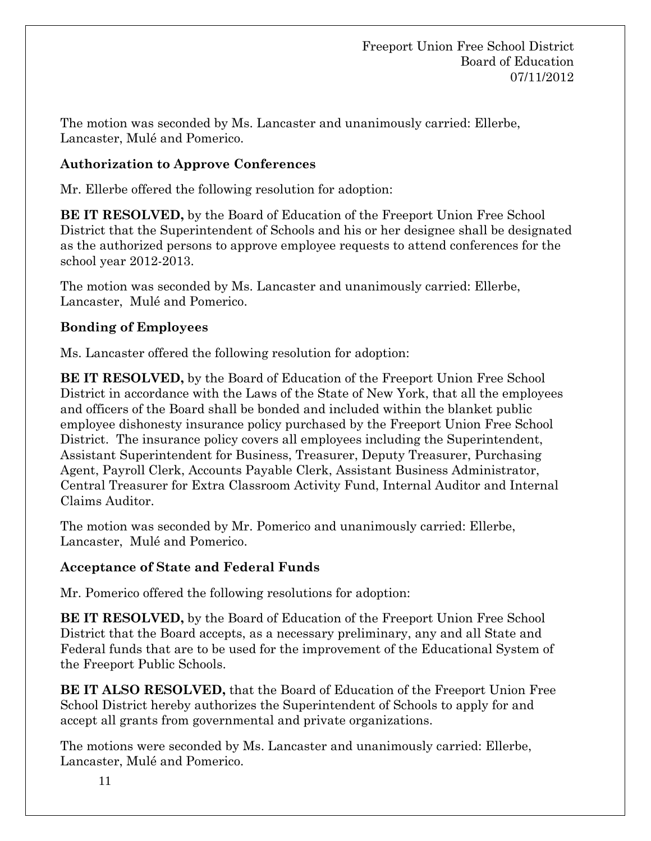The motion was seconded by Ms. Lancaster and unanimously carried: Ellerbe, Lancaster, Mulé and Pomerico.

# **Authorization to Approve Conferences**

Mr. Ellerbe offered the following resolution for adoption:

**BE IT RESOLVED,** by the Board of Education of the Freeport Union Free School District that the Superintendent of Schools and his or her designee shall be designated as the authorized persons to approve employee requests to attend conferences for the school year 2012-2013.

The motion was seconded by Ms. Lancaster and unanimously carried: Ellerbe, Lancaster, Mulé and Pomerico.

# **Bonding of Employees**

Ms. Lancaster offered the following resolution for adoption:

**BE IT RESOLVED,** by the Board of Education of the Freeport Union Free School District in accordance with the Laws of the State of New York, that all the employees and officers of the Board shall be bonded and included within the blanket public employee dishonesty insurance policy purchased by the Freeport Union Free School District. The insurance policy covers all employees including the Superintendent, Assistant Superintendent for Business, Treasurer, Deputy Treasurer, Purchasing Agent, Payroll Clerk, Accounts Payable Clerk, Assistant Business Administrator, Central Treasurer for Extra Classroom Activity Fund, Internal Auditor and Internal Claims Auditor.

The motion was seconded by Mr. Pomerico and unanimously carried: Ellerbe, Lancaster, Mulé and Pomerico.

## **Acceptance of State and Federal Funds**

Mr. Pomerico offered the following resolutions for adoption:

**BE IT RESOLVED,** by the Board of Education of the Freeport Union Free School District that the Board accepts, as a necessary preliminary, any and all State and Federal funds that are to be used for the improvement of the Educational System of the Freeport Public Schools.

**BE IT ALSO RESOLVED,** that the Board of Education of the Freeport Union Free School District hereby authorizes the Superintendent of Schools to apply for and accept all grants from governmental and private organizations.

The motions were seconded by Ms. Lancaster and unanimously carried: Ellerbe, Lancaster, Mulé and Pomerico.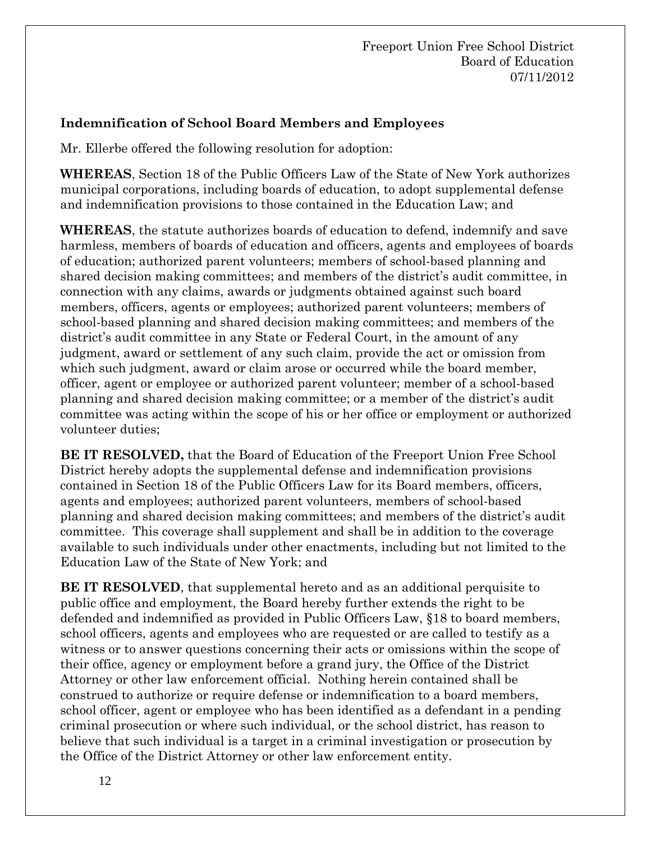# **Indemnification of School Board Members and Employees**

Mr. Ellerbe offered the following resolution for adoption:

**WHEREAS**, Section 18 of the Public Officers Law of the State of New York authorizes municipal corporations, including boards of education, to adopt supplemental defense and indemnification provisions to those contained in the Education Law; and

**WHEREAS**, the statute authorizes boards of education to defend, indemnify and save harmless, members of boards of education and officers, agents and employees of boards of education; authorized parent volunteers; members of school-based planning and shared decision making committees; and members of the district's audit committee, in connection with any claims, awards or judgments obtained against such board members, officers, agents or employees; authorized parent volunteers; members of school-based planning and shared decision making committees; and members of the district's audit committee in any State or Federal Court, in the amount of any judgment, award or settlement of any such claim, provide the act or omission from which such judgment, award or claim arose or occurred while the board member, officer, agent or employee or authorized parent volunteer; member of a school-based planning and shared decision making committee; or a member of the district's audit committee was acting within the scope of his or her office or employment or authorized volunteer duties;

**BE IT RESOLVED,** that the Board of Education of the Freeport Union Free School District hereby adopts the supplemental defense and indemnification provisions contained in Section 18 of the Public Officers Law for its Board members, officers, agents and employees; authorized parent volunteers, members of school-based planning and shared decision making committees; and members of the district's audit committee. This coverage shall supplement and shall be in addition to the coverage available to such individuals under other enactments, including but not limited to the Education Law of the State of New York; and

**BE IT RESOLVED**, that supplemental hereto and as an additional perquisite to public office and employment, the Board hereby further extends the right to be defended and indemnified as provided in Public Officers Law, §18 to board members, school officers, agents and employees who are requested or are called to testify as a witness or to answer questions concerning their acts or omissions within the scope of their office, agency or employment before a grand jury, the Office of the District Attorney or other law enforcement official. Nothing herein contained shall be construed to authorize or require defense or indemnification to a board members, school officer, agent or employee who has been identified as a defendant in a pending criminal prosecution or where such individual, or the school district, has reason to believe that such individual is a target in a criminal investigation or prosecution by the Office of the District Attorney or other law enforcement entity.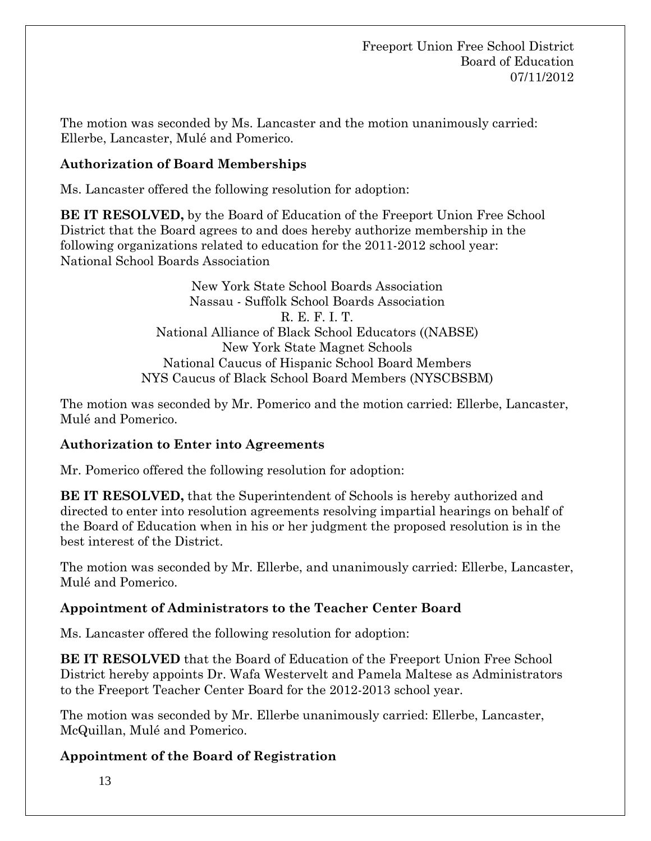The motion was seconded by Ms. Lancaster and the motion unanimously carried: Ellerbe, Lancaster, Mulé and Pomerico.

# **Authorization of Board Memberships**

Ms. Lancaster offered the following resolution for adoption:

**BE IT RESOLVED,** by the Board of Education of the Freeport Union Free School District that the Board agrees to and does hereby authorize membership in the following organizations related to education for the 2011-2012 school year: National School Boards Association

> New York State School Boards Association Nassau - Suffolk School Boards Association R. E. F. I. T. National Alliance of Black School Educators ((NABSE) New York State Magnet Schools National Caucus of Hispanic School Board Members NYS Caucus of Black School Board Members (NYSCBSBM)

The motion was seconded by Mr. Pomerico and the motion carried: Ellerbe, Lancaster, Mulé and Pomerico.

# **Authorization to Enter into Agreements**

Mr. Pomerico offered the following resolution for adoption:

**BE IT RESOLVED,** that the Superintendent of Schools is hereby authorized and directed to enter into resolution agreements resolving impartial hearings on behalf of the Board of Education when in his or her judgment the proposed resolution is in the best interest of the District.

The motion was seconded by Mr. Ellerbe, and unanimously carried: Ellerbe, Lancaster, Mulé and Pomerico.

## **Appointment of Administrators to the Teacher Center Board**

Ms. Lancaster offered the following resolution for adoption:

**BE IT RESOLVED** that the Board of Education of the Freeport Union Free School District hereby appoints Dr. Wafa Westervelt and Pamela Maltese as Administrators to the Freeport Teacher Center Board for the 2012-2013 school year.

The motion was seconded by Mr. Ellerbe unanimously carried: Ellerbe, Lancaster, McQuillan, Mulé and Pomerico.

# **Appointment of the Board of Registration**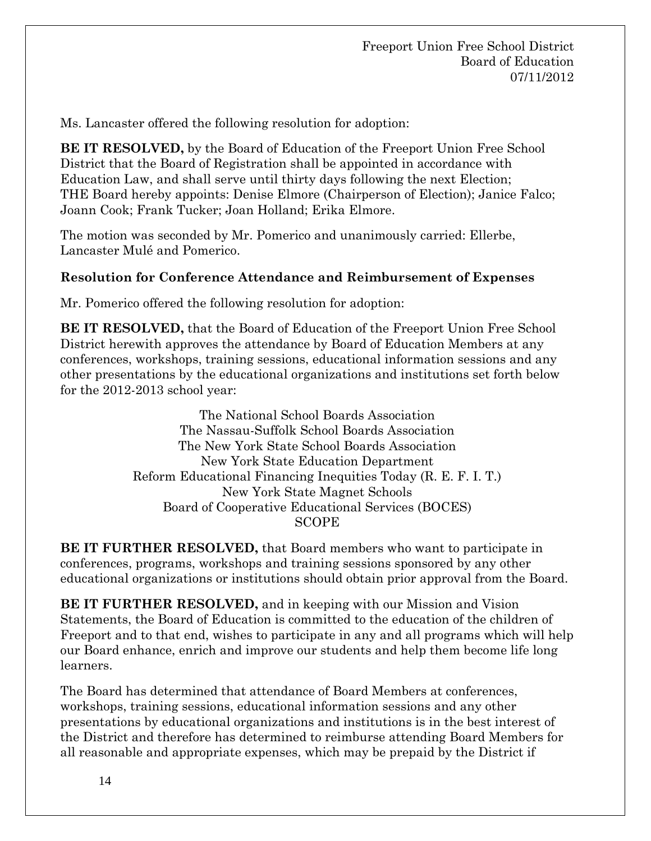Ms. Lancaster offered the following resolution for adoption:

**BE IT RESOLVED,** by the Board of Education of the Freeport Union Free School District that the Board of Registration shall be appointed in accordance with Education Law, and shall serve until thirty days following the next Election; THE Board hereby appoints: Denise Elmore (Chairperson of Election); Janice Falco; Joann Cook; Frank Tucker; Joan Holland; Erika Elmore.

The motion was seconded by Mr. Pomerico and unanimously carried: Ellerbe, Lancaster Mulé and Pomerico.

# **Resolution for Conference Attendance and Reimbursement of Expenses**

Mr. Pomerico offered the following resolution for adoption:

**BE IT RESOLVED,** that the Board of Education of the Freeport Union Free School District herewith approves the attendance by Board of Education Members at any conferences, workshops, training sessions, educational information sessions and any other presentations by the educational organizations and institutions set forth below for the 2012-2013 school year:

> The National School Boards Association The Nassau-Suffolk School Boards Association The New York State School Boards Association New York State Education Department Reform Educational Financing Inequities Today (R. E. F. I. T.) New York State Magnet Schools Board of Cooperative Educational Services (BOCES) SCOPE

**BE IT FURTHER RESOLVED,** that Board members who want to participate in conferences, programs, workshops and training sessions sponsored by any other educational organizations or institutions should obtain prior approval from the Board.

**BE IT FURTHER RESOLVED,** and in keeping with our Mission and Vision Statements, the Board of Education is committed to the education of the children of Freeport and to that end, wishes to participate in any and all programs which will help our Board enhance, enrich and improve our students and help them become life long learners.

The Board has determined that attendance of Board Members at conferences, workshops, training sessions, educational information sessions and any other presentations by educational organizations and institutions is in the best interest of the District and therefore has determined to reimburse attending Board Members for all reasonable and appropriate expenses, which may be prepaid by the District if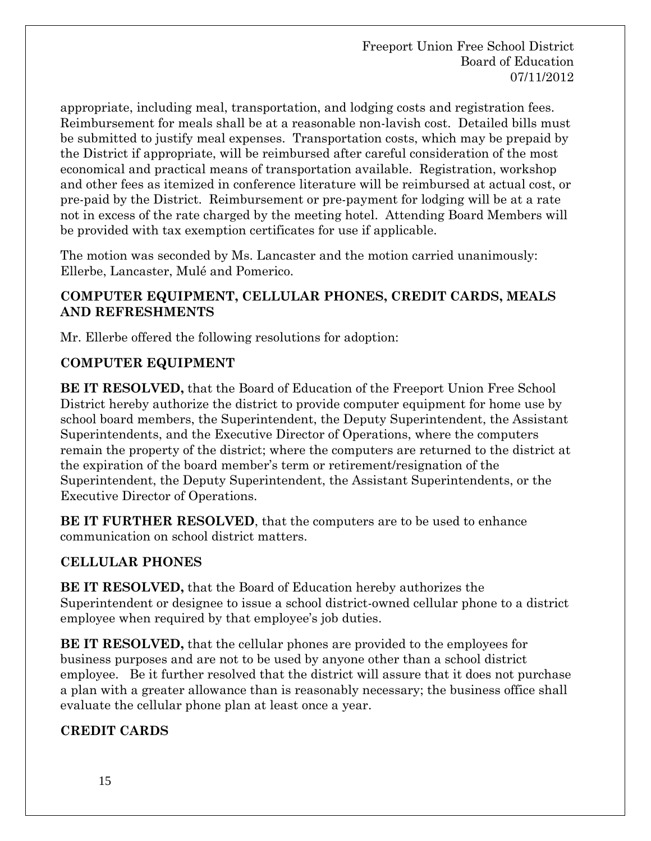appropriate, including meal, transportation, and lodging costs and registration fees. Reimbursement for meals shall be at a reasonable non-lavish cost. Detailed bills must be submitted to justify meal expenses. Transportation costs, which may be prepaid by the District if appropriate, will be reimbursed after careful consideration of the most economical and practical means of transportation available. Registration, workshop and other fees as itemized in conference literature will be reimbursed at actual cost, or pre-paid by the District. Reimbursement or pre-payment for lodging will be at a rate not in excess of the rate charged by the meeting hotel. Attending Board Members will be provided with tax exemption certificates for use if applicable.

The motion was seconded by Ms. Lancaster and the motion carried unanimously: Ellerbe, Lancaster, Mulé and Pomerico.

# **COMPUTER EQUIPMENT, CELLULAR PHONES, CREDIT CARDS, MEALS AND REFRESHMENTS**

Mr. Ellerbe offered the following resolutions for adoption:

# **COMPUTER EQUIPMENT**

**BE IT RESOLVED,** that the Board of Education of the Freeport Union Free School District hereby authorize the district to provide computer equipment for home use by school board members, the Superintendent, the Deputy Superintendent, the Assistant Superintendents, and the Executive Director of Operations, where the computers remain the property of the district; where the computers are returned to the district at the expiration of the board member's term or retirement/resignation of the Superintendent, the Deputy Superintendent, the Assistant Superintendents, or the Executive Director of Operations.

**BE IT FURTHER RESOLVED**, that the computers are to be used to enhance communication on school district matters.

# **CELLULAR PHONES**

**BE IT RESOLVED,** that the Board of Education hereby authorizes the Superintendent or designee to issue a school district-owned cellular phone to a district employee when required by that employee's job duties.

**BE IT RESOLVED,** that the cellular phones are provided to the employees for business purposes and are not to be used by anyone other than a school district employee. Be it further resolved that the district will assure that it does not purchase a plan with a greater allowance than is reasonably necessary; the business office shall evaluate the cellular phone plan at least once a year.

# **CREDIT CARDS**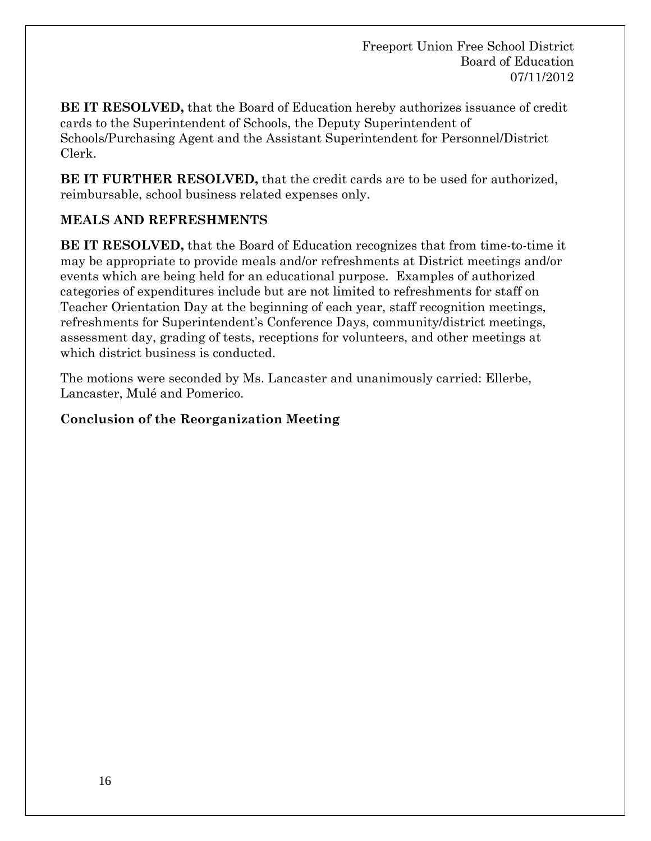**BE IT RESOLVED,** that the Board of Education hereby authorizes issuance of credit cards to the Superintendent of Schools, the Deputy Superintendent of Schools/Purchasing Agent and the Assistant Superintendent for Personnel/District Clerk.

**BE IT FURTHER RESOLVED,** that the credit cards are to be used for authorized, reimbursable, school business related expenses only.

# **MEALS AND REFRESHMENTS**

**BE IT RESOLVED,** that the Board of Education recognizes that from time-to-time it may be appropriate to provide meals and/or refreshments at District meetings and/or events which are being held for an educational purpose. Examples of authorized categories of expenditures include but are not limited to refreshments for staff on Teacher Orientation Day at the beginning of each year, staff recognition meetings, refreshments for Superintendent's Conference Days, community/district meetings, assessment day, grading of tests, receptions for volunteers, and other meetings at which district business is conducted.

The motions were seconded by Ms. Lancaster and unanimously carried: Ellerbe, Lancaster, Mulé and Pomerico.

# **Conclusion of the Reorganization Meeting**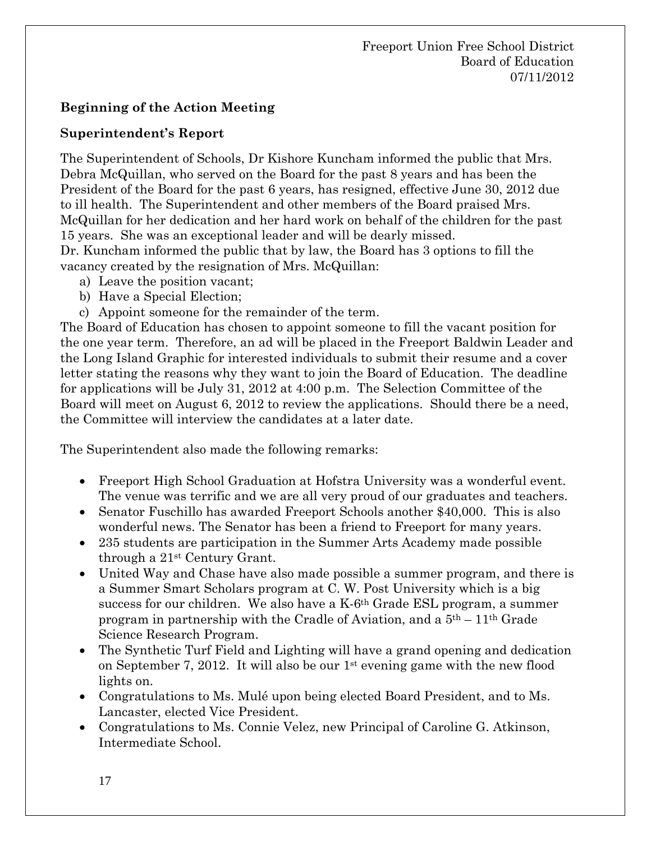# **Beginning of the Action Meeting**

## **Superintendent's Report**

The Superintendent of Schools, Dr Kishore Kuncham informed the public that Mrs. Debra McQuillan, who served on the Board for the past 8 years and has been the President of the Board for the past 6 years, has resigned, effective June 30, 2012 due to ill health. The Superintendent and other members of the Board praised Mrs. McQuillan for her dedication and her hard work on behalf of the children for the past 15 years. She was an exceptional leader and will be dearly missed.

Dr. Kuncham informed the public that by law, the Board has 3 options to fill the vacancy created by the resignation of Mrs. McQuillan:

- a) Leave the position vacant;
- b) Have a Special Election;
- c) Appoint someone for the remainder of the term.

The Board of Education has chosen to appoint someone to fill the vacant position for the one year term. Therefore, an ad will be placed in the Freeport Baldwin Leader and the Long Island Graphic for interested individuals to submit their resume and a cover letter stating the reasons why they want to join the Board of Education. The deadline for applications will be July 31, 2012 at 4:00 p.m. The Selection Committee of the Board will meet on August 6, 2012 to review the applications. Should there be a need, the Committee will interview the candidates at a later date.

The Superintendent also made the following remarks:

- Freeport High School Graduation at Hofstra University was a wonderful event. The venue was terrific and we are all very proud of our graduates and teachers.
- Senator Fuschillo has awarded Freeport Schools another \$40,000. This is also wonderful news. The Senator has been a friend to Freeport for many years.
- 235 students are participation in the Summer Arts Academy made possible through a 21st Century Grant.
- United Way and Chase have also made possible a summer program, and there is a Summer Smart Scholars program at C. W. Post University which is a big success for our children. We also have a K-6th Grade ESL program, a summer program in partnership with the Cradle of Aviation, and a  $5<sup>th</sup> - 11<sup>th</sup>$  Grade Science Research Program.
- The Synthetic Turf Field and Lighting will have a grand opening and dedication on September 7, 2012. It will also be our 1st evening game with the new flood lights on.
- Congratulations to Ms. Mulé upon being elected Board President, and to Ms. Lancaster, elected Vice President.
- Congratulations to Ms. Connie Velez, new Principal of Caroline G. Atkinson, Intermediate School.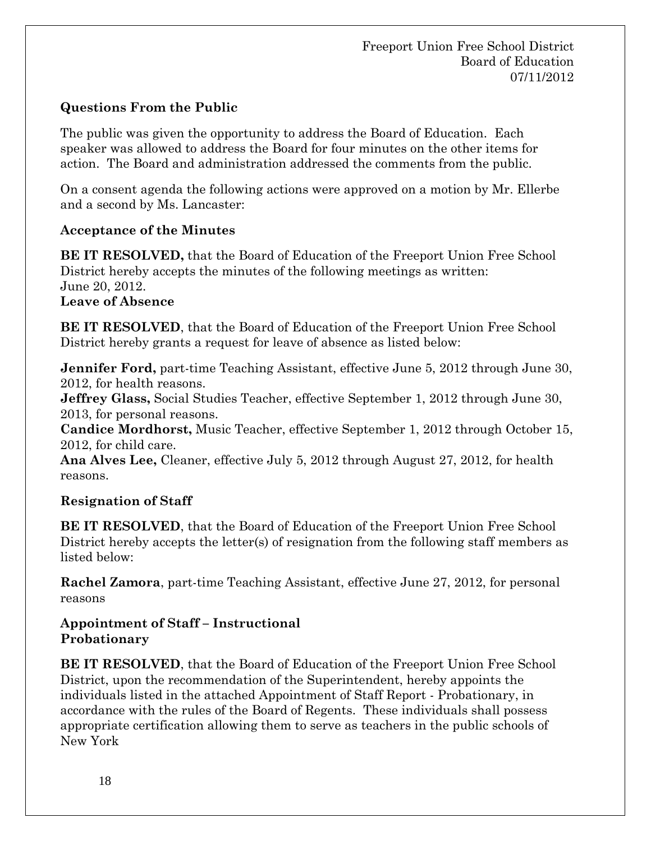# **Questions From the Public**

The public was given the opportunity to address the Board of Education. Each speaker was allowed to address the Board for four minutes on the other items for action. The Board and administration addressed the comments from the public.

On a consent agenda the following actions were approved on a motion by Mr. Ellerbe and a second by Ms. Lancaster:

# **Acceptance of the Minutes**

**BE IT RESOLVED,** that the Board of Education of the Freeport Union Free School District hereby accepts the minutes of the following meetings as written: June 20, 2012. **Leave of Absence** 

**BE IT RESOLVED**, that the Board of Education of the Freeport Union Free School District hereby grants a request for leave of absence as listed below:

**Jennifer Ford,** part-time Teaching Assistant, effective June 5, 2012 through June 30, 2012, for health reasons.

**Jeffrey Glass,** Social Studies Teacher, effective September 1, 2012 through June 30, 2013, for personal reasons.

**Candice Mordhorst,** Music Teacher, effective September 1, 2012 through October 15, 2012, for child care.

**Ana Alves Lee,** Cleaner, effective July 5, 2012 through August 27, 2012, for health reasons.

# **Resignation of Staff**

**BE IT RESOLVED**, that the Board of Education of the Freeport Union Free School District hereby accepts the letter(s) of resignation from the following staff members as listed below:

**Rachel Zamora**, part-time Teaching Assistant, effective June 27, 2012, for personal reasons

## **Appointment of Staff – Instructional Probationary**

**BE IT RESOLVED**, that the Board of Education of the Freeport Union Free School District, upon the recommendation of the Superintendent, hereby appoints the individuals listed in the attached Appointment of Staff Report - Probationary, in accordance with the rules of the Board of Regents. These individuals shall possess appropriate certification allowing them to serve as teachers in the public schools of New York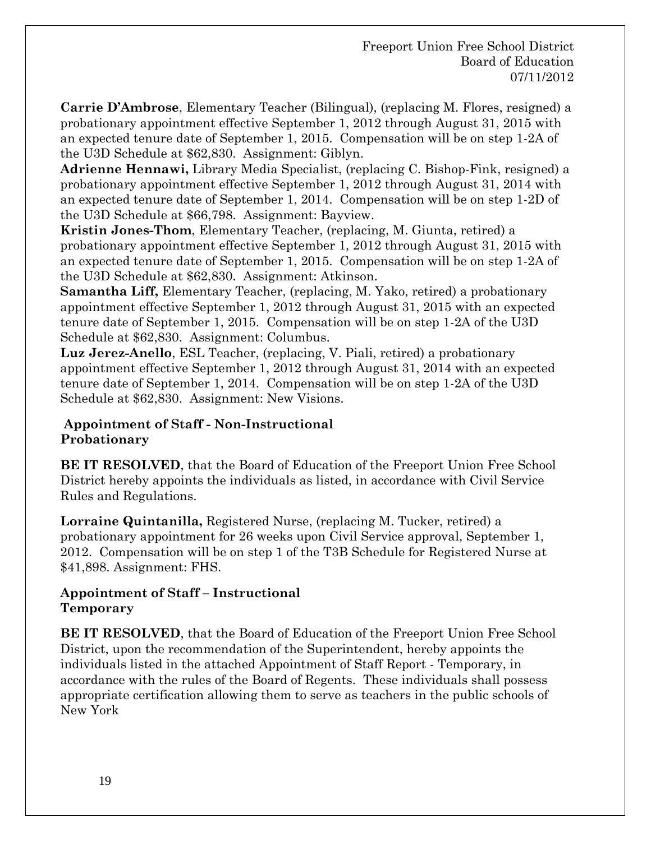**Carrie D'Ambrose**, Elementary Teacher (Bilingual), (replacing M. Flores, resigned) a probationary appointment effective September 1, 2012 through August 31, 2015 with an expected tenure date of September 1, 2015. Compensation will be on step 1-2A of the U3D Schedule at \$62,830. Assignment: Giblyn.

**Adrienne Hennawi,** Library Media Specialist, (replacing C. Bishop-Fink, resigned) a probationary appointment effective September 1, 2012 through August 31, 2014 with an expected tenure date of September 1, 2014. Compensation will be on step 1-2D of the U3D Schedule at \$66,798. Assignment: Bayview.

**Kristin Jones-Thom**, Elementary Teacher, (replacing, M. Giunta, retired) a probationary appointment effective September 1, 2012 through August 31, 2015 with an expected tenure date of September 1, 2015. Compensation will be on step 1-2A of the U3D Schedule at \$62,830. Assignment: Atkinson.

**Samantha Liff,** Elementary Teacher, (replacing, M. Yako, retired) a probationary appointment effective September 1, 2012 through August 31, 2015 with an expected tenure date of September 1, 2015. Compensation will be on step 1-2A of the U3D Schedule at \$62,830. Assignment: Columbus.

**Luz Jerez-Anello**, ESL Teacher, (replacing, V. Piali, retired) a probationary appointment effective September 1, 2012 through August 31, 2014 with an expected tenure date of September 1, 2014. Compensation will be on step 1-2A of the U3D Schedule at \$62,830. Assignment: New Visions.

## **Appointment of Staff - Non-Instructional Probationary**

**BE IT RESOLVED**, that the Board of Education of the Freeport Union Free School District hereby appoints the individuals as listed, in accordance with Civil Service Rules and Regulations.

**Lorraine Quintanilla,** Registered Nurse, (replacing M. Tucker, retired) a probationary appointment for 26 weeks upon Civil Service approval, September 1, 2012. Compensation will be on step 1 of the T3B Schedule for Registered Nurse at \$41,898. Assignment: FHS.

## **Appointment of Staff – Instructional Temporary**

**BE IT RESOLVED**, that the Board of Education of the Freeport Union Free School District, upon the recommendation of the Superintendent, hereby appoints the individuals listed in the attached Appointment of Staff Report - Temporary, in accordance with the rules of the Board of Regents. These individuals shall possess appropriate certification allowing them to serve as teachers in the public schools of New York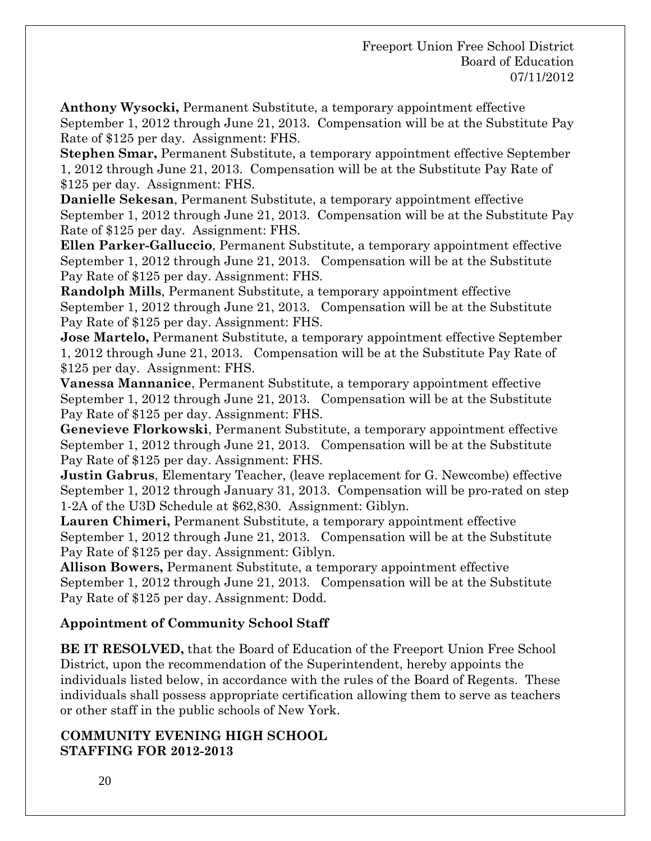**Anthony Wysocki,** Permanent Substitute, a temporary appointment effective September 1, 2012 through June 21, 2013. Compensation will be at the Substitute Pay Rate of \$125 per day. Assignment: FHS.

**Stephen Smar,** Permanent Substitute, a temporary appointment effective September 1, 2012 through June 21, 2013. Compensation will be at the Substitute Pay Rate of \$125 per day. Assignment: FHS.

**Danielle Sekesan**, Permanent Substitute, a temporary appointment effective September 1, 2012 through June 21, 2013. Compensation will be at the Substitute Pay Rate of \$125 per day. Assignment: FHS.

**Ellen Parker-Galluccio**, Permanent Substitute, a temporary appointment effective September 1, 2012 through June 21, 2013. Compensation will be at the Substitute Pay Rate of \$125 per day. Assignment: FHS.

**Randolph Mills**, Permanent Substitute, a temporary appointment effective September 1, 2012 through June 21, 2013. Compensation will be at the Substitute Pay Rate of \$125 per day. Assignment: FHS.

**Jose Martelo,** Permanent Substitute, a temporary appointment effective September 1, 2012 through June 21, 2013. Compensation will be at the Substitute Pay Rate of \$125 per day. Assignment: FHS.

**Vanessa Mannanice**, Permanent Substitute, a temporary appointment effective September 1, 2012 through June 21, 2013. Compensation will be at the Substitute Pay Rate of \$125 per day. Assignment: FHS.

**Genevieve Florkowski**, Permanent Substitute, a temporary appointment effective September 1, 2012 through June 21, 2013. Compensation will be at the Substitute Pay Rate of \$125 per day. Assignment: FHS.

**Justin Gabrus**, Elementary Teacher, (leave replacement for G. Newcombe) effective September 1, 2012 through January 31, 2013. Compensation will be pro-rated on step 1-2A of the U3D Schedule at \$62,830. Assignment: Giblyn.

**Lauren Chimeri,** Permanent Substitute, a temporary appointment effective September 1, 2012 through June 21, 2013. Compensation will be at the Substitute Pay Rate of \$125 per day. Assignment: Giblyn.

**Allison Bowers,** Permanent Substitute, a temporary appointment effective September 1, 2012 through June 21, 2013. Compensation will be at the Substitute Pay Rate of \$125 per day. Assignment: Dodd.

## **Appointment of Community School Staff**

**BE IT RESOLVED,** that the Board of Education of the Freeport Union Free School District, upon the recommendation of the Superintendent, hereby appoints the individuals listed below, in accordance with the rules of the Board of Regents. These individuals shall possess appropriate certification allowing them to serve as teachers or other staff in the public schools of New York.

## **COMMUNITY EVENING HIGH SCHOOL STAFFING FOR 2012-2013**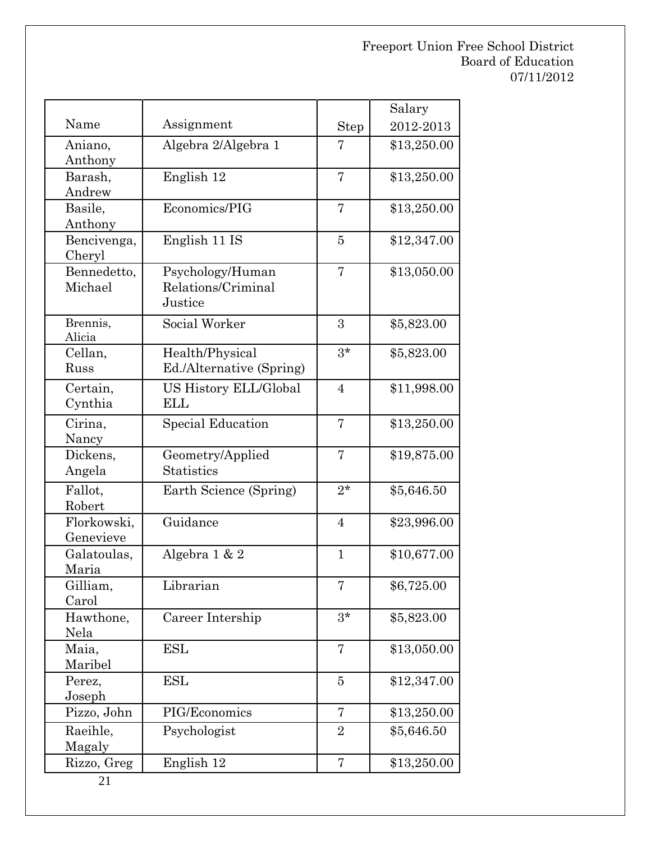|                   |                                             |                | Salary      |
|-------------------|---------------------------------------------|----------------|-------------|
| Name              | Assignment                                  | Step           | 2012-2013   |
| Aniano,           | Algebra 2/Algebra 1                         | 7              | \$13,250.00 |
| Anthony           |                                             |                |             |
| Barash,           | English 12                                  | 7              | \$13,250.00 |
| Andrew            |                                             |                |             |
| Basile,           | Economics/PIG                               | 7              | \$13,250.00 |
| Anthony           |                                             |                |             |
| Bencivenga,       | English 11 IS                               | $\overline{5}$ | \$12,347.00 |
| Cheryl            |                                             |                |             |
| Bennedetto,       | Psychology/Human                            | 7              | \$13,050.00 |
| Michael           | Relations/Criminal<br>Justice               |                |             |
|                   |                                             |                |             |
| Brennis,          | Social Worker                               | 3              | \$5,823.00  |
| Alicia<br>Cellan, |                                             | $3*$           |             |
| Russ              | Health/Physical<br>Ed./Alternative (Spring) |                | \$5,823.00  |
|                   |                                             |                |             |
| Certain,          | <b>US History ELL/Global</b>                | $\overline{4}$ | \$11,998.00 |
| Cynthia           | <b>ELL</b>                                  |                |             |
| Cirina,           | Special Education                           | 7              | \$13,250.00 |
| Nancy             |                                             |                |             |
| Dickens,          | Geometry/Applied                            | $\overline{7}$ | \$19,875.00 |
| Angela            | <b>Statistics</b>                           |                |             |
| Fallot,           | Earth Science (Spring)                      | $2*$           | \$5,646.50  |
| Robert            |                                             |                |             |
| Florkowski,       | Guidance                                    | $\overline{4}$ | \$23,996.00 |
| Genevieve         |                                             |                |             |
| Galatoulas,       | Algebra 1 & 2                               | $\mathbf{1}$   | \$10,677.00 |
| Maria             |                                             |                |             |
| Gilliam,<br>Carol | Librarian                                   | 7              | \$6,725.00  |
| Hawthone,         | Career Intership                            | $3*$           | \$5,823.00  |
| Nela              |                                             |                |             |
| Maia,             | ESL                                         | 7              | \$13,050.00 |
| Maribel           |                                             |                |             |
| Perez,            | ESL                                         | 5              | \$12,347.00 |
| Joseph            |                                             |                |             |
| Pizzo, John       | PIG/Economics                               | 7              | \$13,250.00 |
| Raeihle,          | Psychologist                                | $\overline{2}$ | \$5,646.50  |
| Magaly            |                                             |                |             |
| Rizzo, Greg       | English 12                                  | 7              | \$13,250.00 |
|                   |                                             |                |             |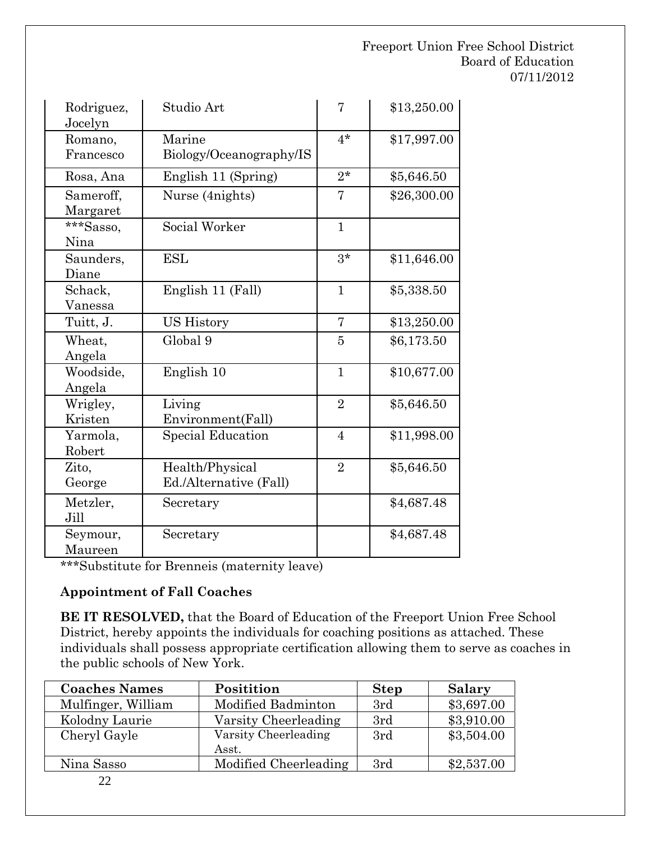| Rodriguez,<br>Jocelyn | Studio Art                                | 7              | \$13,250.00 |
|-----------------------|-------------------------------------------|----------------|-------------|
| Romano,<br>Francesco  | Marine<br>Biology/Oceanography/IS         | $4*$           | \$17,997.00 |
| Rosa, Ana             | English 11 (Spring)                       | $2^*$          | \$5,646.50  |
| Sameroff,<br>Margaret | Nurse (4nights)                           | 7              | \$26,300.00 |
| ***Sasso,<br>Nina     | Social Worker                             | $\mathbf{1}$   |             |
| Saunders,<br>Diane    | <b>ESL</b>                                | $3*$           | \$11,646.00 |
| Schack,<br>Vanessa    | English 11 (Fall)                         | $\mathbf{1}$   | \$5,338.50  |
| Tuitt, J.             | <b>US History</b>                         | $\overline{7}$ | \$13,250.00 |
| Wheat,<br>Angela      | Global 9                                  | 5              | \$6,173.50  |
| Woodside,<br>Angela   | English 10                                | $\mathbf{1}$   | \$10,677.00 |
| Wrigley,<br>Kristen   | Living<br>Environment(Fall)               | $\overline{2}$ | \$5,646.50  |
| Yarmola,<br>Robert    | <b>Special Education</b>                  | $\overline{4}$ | \$11,998.00 |
| Zito,<br>George       | Health/Physical<br>Ed./Alternative (Fall) | $\overline{2}$ | \$5,646.50  |
| Metzler,<br>Jill      | Secretary                                 |                | \$4,687.48  |
| Seymour,<br>Maureen   | Secretary                                 |                | \$4,687.48  |

\*\*\*Substitute for Brenneis (maternity leave)

## **Appointment of Fall Coaches**

**BE IT RESOLVED,** that the Board of Education of the Freeport Union Free School District, hereby appoints the individuals for coaching positions as attached. These individuals shall possess appropriate certification allowing them to serve as coaches in the public schools of New York.

| <b>Coaches Names</b> | Positition            | <b>Step</b> | Salary     |
|----------------------|-----------------------|-------------|------------|
| Mulfinger, William   | Modified Badminton    | 3rd         | \$3,697.00 |
| Kolodny Laurie       | Varsity Cheerleading  | 3rd         | \$3,910.00 |
| Cheryl Gayle         | Varsity Cheerleading  | 3rd         | \$3,504.00 |
|                      | Asst.                 |             |            |
| Nina Sasso           | Modified Cheerleading | 3rd         | \$2,537.00 |
|                      |                       |             |            |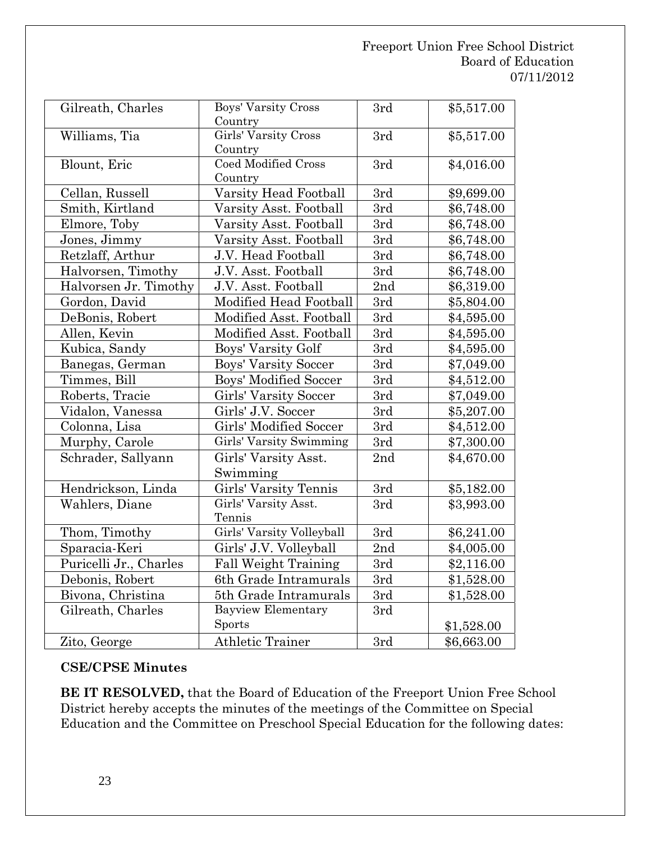| Gilreath, Charles      | Boys' Varsity Cross<br>Country        | 3rd | \$5,517.00 |
|------------------------|---------------------------------------|-----|------------|
| Williams, Tia          | Girls' Varsity Cross<br>Country       | 3rd | \$5,517.00 |
| Blount, Eric           | <b>Coed Modified Cross</b><br>Country | 3rd | \$4,016.00 |
| Cellan, Russell        | Varsity Head Football                 | 3rd | \$9,699.00 |
| Smith, Kirtland        | Varsity Asst. Football                | 3rd | \$6,748.00 |
| Elmore, Toby           | Varsity Asst. Football                | 3rd | \$6,748.00 |
| Jones, Jimmy           | Varsity Asst. Football                | 3rd | \$6,748.00 |
| Retzlaff, Arthur       | J.V. Head Football                    | 3rd | \$6,748.00 |
| Halvorsen, Timothy     | J.V. Asst. Football                   | 3rd | \$6,748.00 |
| Halvorsen Jr. Timothy  | J.V. Asst. Football                   | 2nd | \$6,319.00 |
| Gordon, David          | Modified Head Football                | 3rd | \$5,804.00 |
| DeBonis, Robert        | Modified Asst. Football               | 3rd | \$4,595.00 |
| Allen, Kevin           | Modified Asst. Football               | 3rd | \$4,595.00 |
| Kubica, Sandy          | Boys' Varsity Golf                    | 3rd | \$4,595.00 |
| Banegas, German        | Boys' Varsity Soccer                  | 3rd | \$7,049.00 |
| Timmes, Bill           | <b>Boys' Modified Soccer</b>          | 3rd | \$4,512.00 |
| Roberts, Tracie        | Girls' Varsity Soccer                 | 3rd | \$7,049.00 |
| Vidalon, Vanessa       | Girls' J.V. Soccer                    | 3rd | \$5,207.00 |
| Colonna, Lisa          | Girls' Modified Soccer                | 3rd | \$4,512.00 |
| Murphy, Carole         | Girls' Varsity Swimming               | 3rd | \$7,300.00 |
| Schrader, Sallyann     | Girls' Varsity Asst.                  | 2nd | \$4,670.00 |
|                        | Swimming                              |     |            |
| Hendrickson, Linda     | Girls' Varsity Tennis                 | 3rd | \$5,182.00 |
| Wahlers, Diane         | Girls' Varsity Asst.<br>Tennis        | 3rd | \$3,993.00 |
| Thom, Timothy          | Girls' Varsity Volleyball             | 3rd | \$6,241.00 |
| Sparacia-Keri          | Girls' J.V. Volleyball                | 2nd | \$4,005.00 |
| Puricelli Jr., Charles | <b>Fall Weight Training</b>           | 3rd | \$2,116.00 |
| Debonis, Robert        | 6th Grade Intramurals                 | 3rd | \$1,528.00 |
| Bivona, Christina      | 5th Grade Intramurals                 | 3rd | \$1,528.00 |
| Gilreath, Charles      | <b>Bayview Elementary</b>             | 3rd |            |
|                        | Sports                                |     | \$1,528.00 |
| Zito, George           | <b>Athletic Trainer</b>               | 3rd | \$6,663.00 |

# **CSE/CPSE Minutes**

**BE IT RESOLVED,** that the Board of Education of the Freeport Union Free School District hereby accepts the minutes of the meetings of the Committee on Special Education and the Committee on Preschool Special Education for the following dates: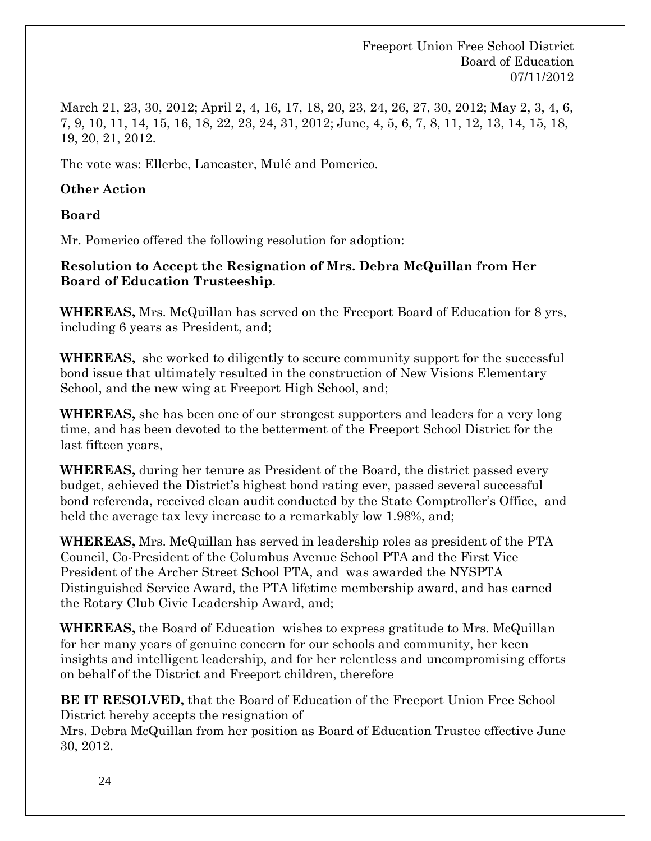March 21, 23, 30, 2012; April 2, 4, 16, 17, 18, 20, 23, 24, 26, 27, 30, 2012; May 2, 3, 4, 6, 7, 9, 10, 11, 14, 15, 16, 18, 22, 23, 24, 31, 2012; June, 4, 5, 6, 7, 8, 11, 12, 13, 14, 15, 18, 19, 20, 21, 2012.

The vote was: Ellerbe, Lancaster, Mulé and Pomerico.

### **Other Action**

**Board** 

Mr. Pomerico offered the following resolution for adoption:

**Resolution to Accept the Resignation of Mrs. Debra McQuillan from Her Board of Education Trusteeship**.

**WHEREAS,** Mrs. McQuillan has served on the Freeport Board of Education for 8 yrs, including 6 years as President, and;

**WHEREAS,** she worked to diligently to secure community support for the successful bond issue that ultimately resulted in the construction of New Visions Elementary School, and the new wing at Freeport High School, and;

**WHEREAS,** she has been one of our strongest supporters and leaders for a very long time, and has been devoted to the betterment of the Freeport School District for the last fifteen years,

**WHEREAS,** during her tenure as President of the Board, the district passed every budget, achieved the District's highest bond rating ever, passed several successful bond referenda, received clean audit conducted by the State Comptroller's Office, and held the average tax levy increase to a remarkably low 1.98%, and;

**WHEREAS,** Mrs. McQuillan has served in leadership roles as president of the PTA Council, Co-President of the Columbus Avenue School PTA and the First Vice President of the Archer Street School PTA, and was awarded the NYSPTA Distinguished Service Award, the PTA lifetime membership award, and has earned the Rotary Club Civic Leadership Award, and;

**WHEREAS,** the Board of Education wishes to express gratitude to Mrs. McQuillan for her many years of genuine concern for our schools and community, her keen insights and intelligent leadership, and for her relentless and uncompromising efforts on behalf of the District and Freeport children, therefore

**BE IT RESOLVED,** that the Board of Education of the Freeport Union Free School District hereby accepts the resignation of

Mrs. Debra McQuillan from her position as Board of Education Trustee effective June 30, 2012.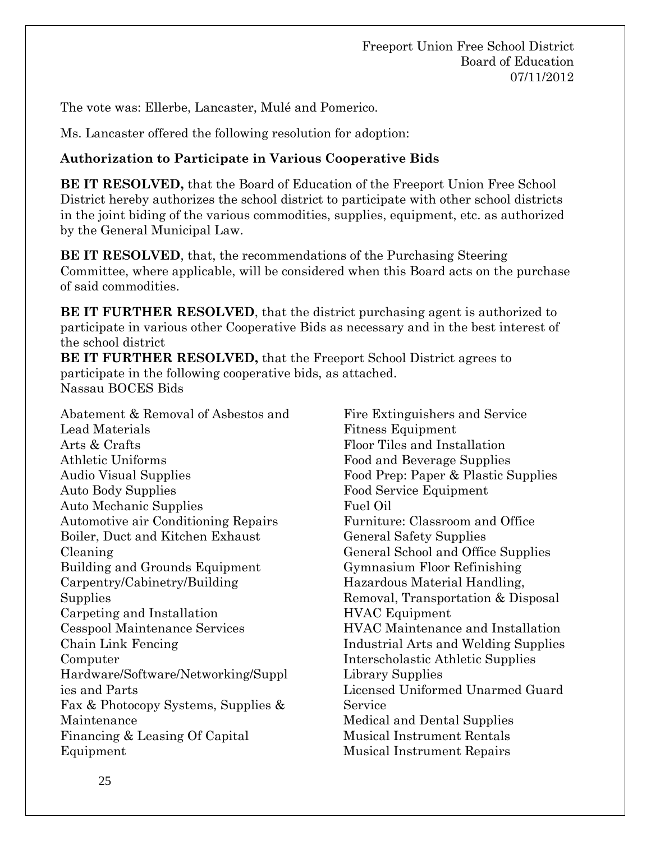The vote was: Ellerbe, Lancaster, Mulé and Pomerico.

Ms. Lancaster offered the following resolution for adoption:

## **Authorization to Participate in Various Cooperative Bids**

**BE IT RESOLVED,** that the Board of Education of the Freeport Union Free School District hereby authorizes the school district to participate with other school districts in the joint biding of the various commodities, supplies, equipment, etc. as authorized by the General Municipal Law.

**BE IT RESOLVED**, that, the recommendations of the Purchasing Steering Committee, where applicable, will be considered when this Board acts on the purchase of said commodities.

**BE IT FURTHER RESOLVED**, that the district purchasing agent is authorized to participate in various other Cooperative Bids as necessary and in the best interest of the school district

**BE IT FURTHER RESOLVED,** that the Freeport School District agrees to participate in the following cooperative bids, as attached. Nassau BOCES Bids

Abatement & Removal of Asbestos and Lead Materials Arts & Crafts Athletic Uniforms Audio Visual Supplies Auto Body Supplies Auto Mechanic Supplies Automotive air Conditioning Repairs Boiler, Duct and Kitchen Exhaust Cleaning Building and Grounds Equipment Carpentry/Cabinetry/Building Supplies Carpeting and Installation Cesspool Maintenance Services Chain Link Fencing Computer Hardware/Software/Networking/Suppl ies and Parts Fax & Photocopy Systems, Supplies & Maintenance Financing & Leasing Of Capital Equipment

Fire Extinguishers and Service Fitness Equipment Floor Tiles and Installation Food and Beverage Supplies Food Prep: Paper & Plastic Supplies Food Service Equipment Fuel Oil Furniture: Classroom and Office General Safety Supplies General School and Office Supplies Gymnasium Floor Refinishing Hazardous Material Handling, Removal, Transportation & Disposal HVAC Equipment HVAC Maintenance and Installation Industrial Arts and Welding Supplies Interscholastic Athletic Supplies Library Supplies Licensed Uniformed Unarmed Guard Service Medical and Dental Supplies Musical Instrument Rentals Musical Instrument Repairs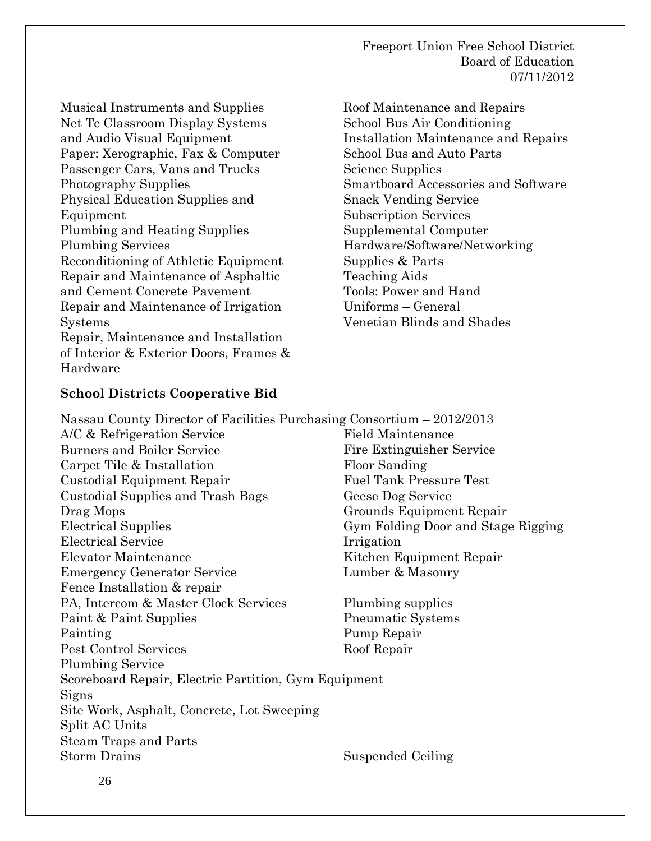Musical Instruments and Supplies Net Tc Classroom Display Systems and Audio Visual Equipment Paper: Xerographic, Fax & Computer Passenger Cars, Vans and Trucks Photography Supplies Physical Education Supplies and Equipment Plumbing and Heating Supplies Plumbing Services Reconditioning of Athletic Equipment Repair and Maintenance of Asphaltic and Cement Concrete Pavement Repair and Maintenance of Irrigation Systems Repair, Maintenance and Installation of Interior & Exterior Doors, Frames & Hardware

Roof Maintenance and Repairs School Bus Air Conditioning Installation Maintenance and Repairs School Bus and Auto Parts Science Supplies Smartboard Accessories and Software Snack Vending Service Subscription Services Supplemental Computer Hardware/Software/Networking Supplies & Parts Teaching Aids Tools: Power and Hand Uniforms – General Venetian Blinds and Shades

### **School Districts Cooperative Bid**

Nassau County Director of Facilities Purchasing Consortium – 2012/2013 A/C & Refrigeration Service Burners and Boiler Service Carpet Tile & Installation Custodial Equipment Repair Custodial Supplies and Trash Bags Drag Mops Electrical Supplies Electrical Service Elevator Maintenance Emergency Generator Service Fence Installation & repair Field Maintenance Fire Extinguisher Service Floor Sanding Fuel Tank Pressure Test Geese Dog Service Grounds Equipment Repair Gym Folding Door and Stage Rigging Irrigation Kitchen Equipment Repair Lumber & Masonry PA, Intercom & Master Clock Services Paint & Paint Supplies Painting Pest Control Services Plumbing Service Plumbing supplies Pneumatic Systems Pump Repair Roof Repair Scoreboard Repair, Electric Partition, Gym Equipment Signs Site Work, Asphalt, Concrete, Lot Sweeping Split AC Units Steam Traps and Parts Storm Drains Suspended Ceiling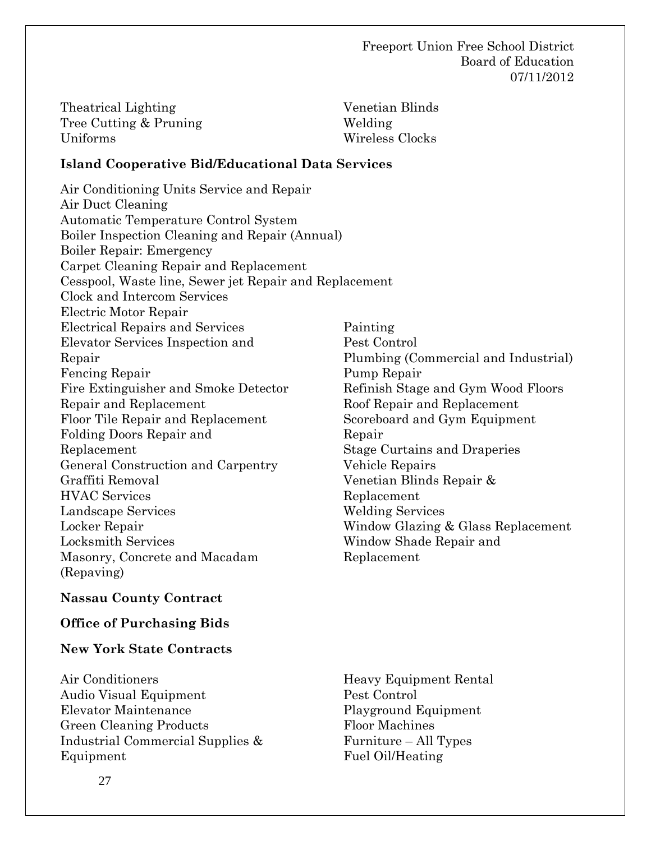| Theatrical Lighting    | Venetian Blinds |
|------------------------|-----------------|
| Tree Cutting & Pruning | Welding         |
| Uniforms               | Wireless Clocks |

#### **Island Cooperative Bid/Educational Data Services**

Air Conditioning Units Service and Repair Air Duct Cleaning Automatic Temperature Control System Boiler Inspection Cleaning and Repair (Annual) Boiler Repair: Emergency Carpet Cleaning Repair and Replacement Cesspool, Waste line, Sewer jet Repair and Replacement Clock and Intercom Services Electric Motor Repair Electrical Repairs and Services Elevator Services Inspection and Repair Fencing Repair Fire Extinguisher and Smoke Detector Repair and Replacement Floor Tile Repair and Replacement Folding Doors Repair and Replacement General Construction and Carpentry Graffiti Removal HVAC Services Landscape Services Locker Repair Locksmith Services Masonry, Concrete and Macadam (Repaving) Painting Window Shade Repair and Replacement

#### **Nassau County Contract**

#### **Office of Purchasing Bids**

#### **New York State Contracts**

Air Conditioners Audio Visual Equipment Elevator Maintenance Green Cleaning Products Industrial Commercial Supplies & Equipment

Pest Control Plumbing (Commercial and Industrial) Pump Repair Refinish Stage and Gym Wood Floors Roof Repair and Replacement Scoreboard and Gym Equipment Repair Stage Curtains and Draperies Vehicle Repairs Venetian Blinds Repair & Replacement Welding Services Window Glazing & Glass Replacement

Heavy Equipment Rental Pest Control Playground Equipment Floor Machines Furniture – All Types Fuel Oil/Heating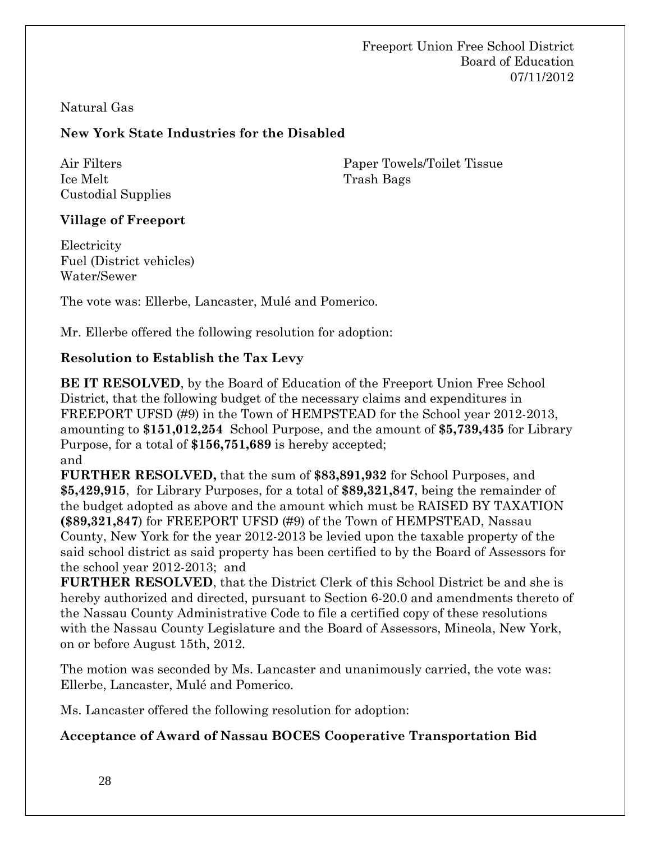## Natural Gas

# **New York State Industries for the Disabled**

Air Filters Ice Melt Custodial Supplies Paper Towels/Toilet Tissue Trash Bags

## **Village of Freeport**

**Electricity** Fuel (District vehicles) Water/Sewer

The vote was: Ellerbe, Lancaster, Mulé and Pomerico.

Mr. Ellerbe offered the following resolution for adoption:

## **Resolution to Establish the Tax Levy**

**BE IT RESOLVED**, by the Board of Education of the Freeport Union Free School District, that the following budget of the necessary claims and expenditures in FREEPORT UFSD (#9) in the Town of HEMPSTEAD for the School year 2012-2013, amounting to **\$151,012,254** School Purpose, and the amount of **\$5,739,435** for Library Purpose, for a total of **\$156,751,689** is hereby accepted; and

**FURTHER RESOLVED,** that the sum of **\$83,891,932** for School Purposes, and **\$5,429,915**, for Library Purposes, for a total of **\$89,321,847**, being the remainder of the budget adopted as above and the amount which must be RAISED BY TAXATION **(\$89,321,847**) for FREEPORT UFSD (#9) of the Town of HEMPSTEAD, Nassau County, New York for the year 2012-2013 be levied upon the taxable property of the said school district as said property has been certified to by the Board of Assessors for the school year 2012-2013; and

**FURTHER RESOLVED**, that the District Clerk of this School District be and she is hereby authorized and directed, pursuant to Section 6-20.0 and amendments thereto of the Nassau County Administrative Code to file a certified copy of these resolutions with the Nassau County Legislature and the Board of Assessors, Mineola, New York, on or before August 15th, 2012.

The motion was seconded by Ms. Lancaster and unanimously carried, the vote was: Ellerbe, Lancaster, Mulé and Pomerico.

Ms. Lancaster offered the following resolution for adoption:

## **Acceptance of Award of Nassau BOCES Cooperative Transportation Bid**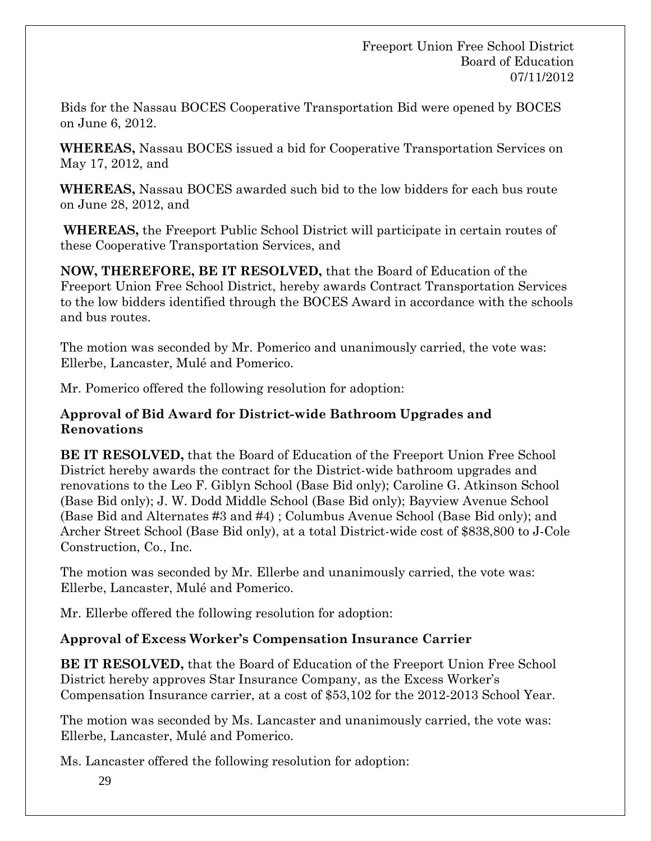Bids for the Nassau BOCES Cooperative Transportation Bid were opened by BOCES on June 6, 2012.

**WHEREAS,** Nassau BOCES issued a bid for Cooperative Transportation Services on May 17, 2012, and

**WHEREAS,** Nassau BOCES awarded such bid to the low bidders for each bus route on June 28, 2012, and

**WHEREAS,** the Freeport Public School District will participate in certain routes of these Cooperative Transportation Services, and

**NOW, THEREFORE, BE IT RESOLVED,** that the Board of Education of the Freeport Union Free School District, hereby awards Contract Transportation Services to the low bidders identified through the BOCES Award in accordance with the schools and bus routes.

The motion was seconded by Mr. Pomerico and unanimously carried, the vote was: Ellerbe, Lancaster, Mulé and Pomerico.

Mr. Pomerico offered the following resolution for adoption:

## **Approval of Bid Award for District-wide Bathroom Upgrades and Renovations**

**BE IT RESOLVED,** that the Board of Education of the Freeport Union Free School District hereby awards the contract for the District-wide bathroom upgrades and renovations to the Leo F. Giblyn School (Base Bid only); Caroline G. Atkinson School (Base Bid only); J. W. Dodd Middle School (Base Bid only); Bayview Avenue School (Base Bid and Alternates #3 and #4) ; Columbus Avenue School (Base Bid only); and Archer Street School (Base Bid only), at a total District-wide cost of \$838,800 to J-Cole Construction, Co., Inc.

The motion was seconded by Mr. Ellerbe and unanimously carried, the vote was: Ellerbe, Lancaster, Mulé and Pomerico.

Mr. Ellerbe offered the following resolution for adoption:

# **Approval of Excess Worker's Compensation Insurance Carrier**

**BE IT RESOLVED,** that the Board of Education of the Freeport Union Free School District hereby approves Star Insurance Company, as the Excess Worker's Compensation Insurance carrier, at a cost of \$53,102 for the 2012-2013 School Year.

The motion was seconded by Ms. Lancaster and unanimously carried, the vote was: Ellerbe, Lancaster, Mulé and Pomerico.

Ms. Lancaster offered the following resolution for adoption: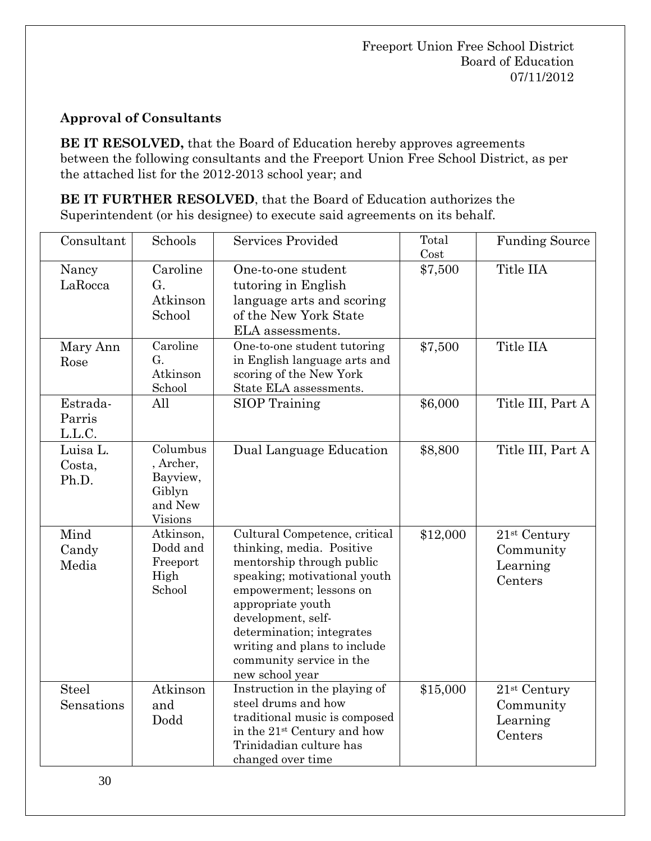# **Approval of Consultants**

**BE IT RESOLVED,** that the Board of Education hereby approves agreements between the following consultants and the Freeport Union Free School District, as per the attached list for the 2012-2013 school year; and

**BE IT FURTHER RESOLVED**, that the Board of Education authorizes the Superintendent (or his designee) to execute said agreements on its behalf.

| Consultant                   | Schools                                                           | <b>Services Provided</b>                                                                                                                                                                                                                                                                                  | Total<br>Cost | <b>Funding Source</b>                              |
|------------------------------|-------------------------------------------------------------------|-----------------------------------------------------------------------------------------------------------------------------------------------------------------------------------------------------------------------------------------------------------------------------------------------------------|---------------|----------------------------------------------------|
| Nancy<br>LaRocca             | Caroline<br>G.<br>Atkinson<br>School                              | One-to-one student<br>tutoring in English<br>language arts and scoring<br>of the New York State<br>ELA assessments.                                                                                                                                                                                       | \$7,500       | Title IIA                                          |
| Mary Ann<br>Rose             | Caroline<br>G.<br>Atkinson<br>School                              | One-to-one student tutoring<br>in English language arts and<br>scoring of the New York<br>State ELA assessments.                                                                                                                                                                                          | \$7,500       | Title IIA                                          |
| Estrada-<br>Parris<br>L.L.C. | All                                                               | <b>SIOP</b> Training                                                                                                                                                                                                                                                                                      | \$6,000       | Title III, Part A                                  |
| Luisa L.<br>Costa,<br>Ph.D.  | Columbus<br>, Archer,<br>Bayview,<br>Giblyn<br>and New<br>Visions | Dual Language Education                                                                                                                                                                                                                                                                                   | \$8,800       | Title III, Part A                                  |
| Mind<br>Candy<br>Media       | Atkinson,<br>Dodd and<br>Freeport<br>High<br>School               | Cultural Competence, critical<br>thinking, media. Positive<br>mentorship through public<br>speaking; motivational youth<br>empowerment; lessons on<br>appropriate youth<br>development, self-<br>determination; integrates<br>writing and plans to include<br>community service in the<br>new school year | \$12,000      | $21st$ Century<br>Community<br>Learning<br>Centers |
| <b>Steel</b><br>Sensations   | Atkinson<br>and<br>Dodd                                           | Instruction in the playing of<br>steel drums and how<br>traditional music is composed<br>in the 21 <sup>st</sup> Century and how<br>Trinidadian culture has<br>changed over time                                                                                                                          | \$15,000      | $21st$ Century<br>Community<br>Learning<br>Centers |

30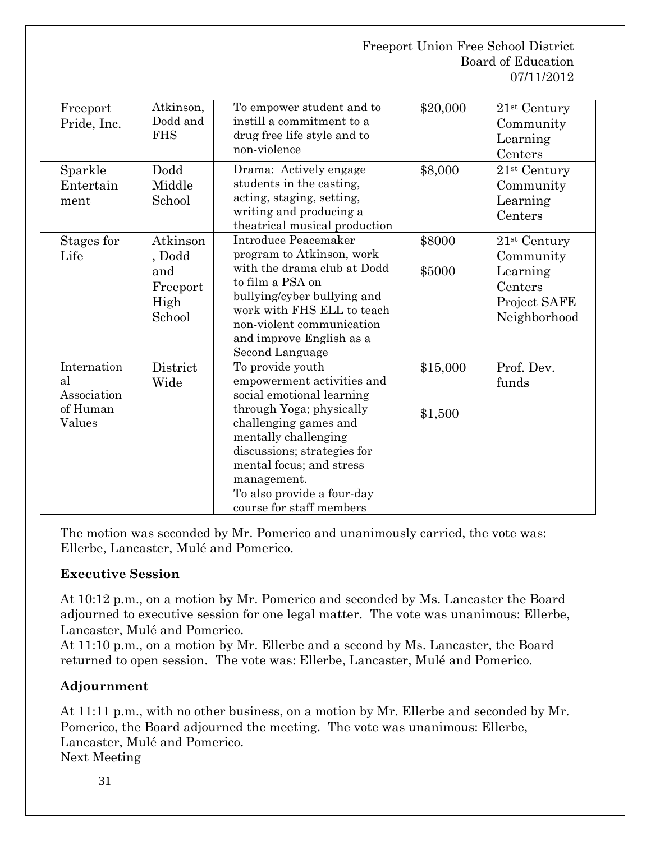| Freeport<br>Pride, Inc.                                | Atkinson,<br>Dodd and<br><b>FHS</b>                     | To empower student and to<br>instill a commitment to a<br>drug free life style and to<br>non-violence                                                                                                                                                                                        | \$20,000            | $21st$ Century<br>Community<br>Learning<br>Centers                                 |
|--------------------------------------------------------|---------------------------------------------------------|----------------------------------------------------------------------------------------------------------------------------------------------------------------------------------------------------------------------------------------------------------------------------------------------|---------------------|------------------------------------------------------------------------------------|
| Sparkle<br>Entertain<br>ment                           | Dodd<br>Middle<br>School                                | Drama: Actively engage<br>students in the casting,<br>acting, staging, setting,<br>writing and producing a<br>theatrical musical production                                                                                                                                                  | \$8,000             | 21 <sup>st</sup> Century<br>Community<br>Learning<br>Centers                       |
| Stages for<br>Life                                     | Atkinson<br>, Dodd<br>and<br>Freeport<br>High<br>School | Introduce Peacemaker<br>program to Atkinson, work<br>with the drama club at Dodd<br>to film a PSA on<br>bullying/cyber bullying and<br>work with FHS ELL to teach<br>non-violent communication<br>and improve English as a<br>Second Language                                                | \$8000<br>\$5000    | $21st$ Century<br>Community<br>Learning<br>Centers<br>Project SAFE<br>Neighborhood |
| Internation<br>al<br>Association<br>of Human<br>Values | District<br>Wide                                        | To provide youth<br>empowerment activities and<br>social emotional learning<br>through Yoga; physically<br>challenging games and<br>mentally challenging<br>discussions; strategies for<br>mental focus; and stress<br>management.<br>To also provide a four-day<br>course for staff members | \$15,000<br>\$1,500 | Prof. Dev.<br>funds                                                                |

The motion was seconded by Mr. Pomerico and unanimously carried, the vote was: Ellerbe, Lancaster, Mulé and Pomerico.

# **Executive Session**

At 10:12 p.m., on a motion by Mr. Pomerico and seconded by Ms. Lancaster the Board adjourned to executive session for one legal matter. The vote was unanimous: Ellerbe, Lancaster, Mulé and Pomerico.

At 11:10 p.m., on a motion by Mr. Ellerbe and a second by Ms. Lancaster, the Board returned to open session. The vote was: Ellerbe, Lancaster, Mulé and Pomerico.

# **Adjournment**

At 11:11 p.m., with no other business, on a motion by Mr. Ellerbe and seconded by Mr. Pomerico, the Board adjourned the meeting. The vote was unanimous: Ellerbe, Lancaster, Mulé and Pomerico.

Next Meeting